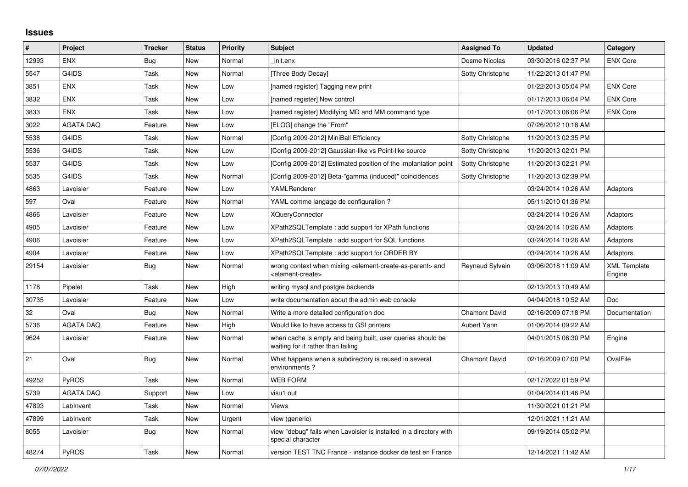## **Issues**

| $\vert$ # | Project          | <b>Tracker</b> | <b>Status</b> | <b>Priority</b> | <b>Subject</b>                                                                                                            | <b>Assigned To</b>   | <b>Updated</b>      | Category                      |
|-----------|------------------|----------------|---------------|-----------------|---------------------------------------------------------------------------------------------------------------------------|----------------------|---------------------|-------------------------------|
| 12993     | <b>ENX</b>       | Bug            | <b>New</b>    | Normal          | init.enx                                                                                                                  | Dosme Nicolas        | 03/30/2016 02:37 PM | <b>ENX Core</b>               |
| 5547      | G4IDS            | Task           | <b>New</b>    | Normal          | [Three Body Decay]                                                                                                        | Sotty Christophe     | 11/22/2013 01:47 PM |                               |
| 3851      | <b>ENX</b>       | Task           | <b>New</b>    | Low             | [named register] Tagging new print                                                                                        |                      | 01/22/2013 05:04 PM | <b>ENX Core</b>               |
| 3832      | <b>ENX</b>       | Task           | <b>New</b>    | Low             | [named register] New control                                                                                              |                      | 01/17/2013 06:04 PM | <b>ENX Core</b>               |
| 3833      | <b>ENX</b>       | Task           | <b>New</b>    | Low             | [named register] Modifying MD and MM command type                                                                         |                      | 01/17/2013 06:06 PM | <b>ENX Core</b>               |
| 3022      | <b>AGATA DAQ</b> | Feature        | <b>New</b>    | Low             | [ELOG] change the "From"                                                                                                  |                      | 07/26/2012 10:18 AM |                               |
| 5538      | G4IDS            | Task           | <b>New</b>    | Normal          | [Config 2009-2012] MiniBall Efficiency                                                                                    | Sotty Christophe     | 11/20/2013 02:35 PM |                               |
| 5536      | G4IDS            | Task           | <b>New</b>    | Low             | [Config 2009-2012] Gaussian-like vs Point-like source                                                                     | Sotty Christophe     | 11/20/2013 02:01 PM |                               |
| 5537      | G4IDS            | Task           | <b>New</b>    | Low             | [Config 2009-2012] Estimated position of the implantation point                                                           | Sotty Christophe     | 11/20/2013 02:21 PM |                               |
| 5535      | G4IDS            | Task           | <b>New</b>    | Normal          | [Config 2009-2012] Beta-"gamma (induced)" coincidences                                                                    | Sotty Christophe     | 11/20/2013 02:39 PM |                               |
| 4863      | Lavoisier        | Feature        | <b>New</b>    | Low             | YAMLRenderer                                                                                                              |                      | 03/24/2014 10:26 AM | Adaptors                      |
| 597       | Oval             | Feature        | <b>New</b>    | Normal          | YAML comme langage de configuration?                                                                                      |                      | 05/11/2010 01:36 PM |                               |
| 4866      | Lavoisier        | Feature        | New           | Low             | <b>XQueryConnector</b>                                                                                                    |                      | 03/24/2014 10:26 AM | Adaptors                      |
| 4905      | Lavoisier        | Feature        | <b>New</b>    | Low             | XPath2SQLTemplate: add support for XPath functions                                                                        |                      | 03/24/2014 10:26 AM | Adaptors                      |
| 4906      | Lavoisier        | Feature        | <b>New</b>    | Low             | XPath2SQLTemplate: add support for SQL functions                                                                          |                      | 03/24/2014 10:26 AM | Adaptors                      |
| 4904      | Lavoisier        | Feature        | New           | Low             | XPath2SQLTemplate: add support for ORDER BY                                                                               |                      | 03/24/2014 10:26 AM | Adaptors                      |
| 29154     | Lavoisier        | Bug            | New           | Normal          | wrong context when mixing <element-create-as-parent> and<br/><element-create></element-create></element-create-as-parent> | Reynaud Sylvain      | 03/06/2018 11:09 AM | <b>XML Template</b><br>Engine |
| 1178      | Pipelet          | Task           | <b>New</b>    | High            | writing mysql and postgre backends                                                                                        |                      | 02/13/2013 10:49 AM |                               |
| 30735     | Lavoisier        | Feature        | <b>New</b>    | Low             | write documentation about the admin web console                                                                           |                      | 04/04/2018 10:52 AM | <b>Doc</b>                    |
| 32        | Oval             | Bug            | New           | Normal          | Write a more detailed configuration doc                                                                                   | <b>Chamont David</b> | 02/16/2009 07:18 PM | Documentation                 |
| 5736      | <b>AGATA DAQ</b> | Feature        | New           | High            | Would like to have access to GSI printers                                                                                 | <b>Aubert Yann</b>   | 01/06/2014 09:22 AM |                               |
| 9624      | Lavoisier        | Feature        | <b>New</b>    | Normal          | when cache is empty and being built, user queries should be<br>waiting for it rather than failing                         |                      | 04/01/2015 06:30 PM | Engine                        |
| 21        | Oval             | <b>Bug</b>     | New           | Normal          | What happens when a subdirectory is reused in several<br>environments?                                                    | Chamont David        | 02/16/2009 07:00 PM | OvalFile                      |
| 49252     | <b>PyROS</b>     | Task           | <b>New</b>    | Normal          | <b>WEB FORM</b>                                                                                                           |                      | 02/17/2022 01:59 PM |                               |
| 5739      | <b>AGATA DAQ</b> | Support        | <b>New</b>    | Low             | visu1 out                                                                                                                 |                      | 01/04/2014 01:46 PM |                               |
| 47893     | LabInvent        | Task           | <b>New</b>    | Normal          | Views                                                                                                                     |                      | 11/30/2021 01:21 PM |                               |
| 47899     | LabInvent        | Task           | <b>New</b>    | Urgent          | view (generic)                                                                                                            |                      | 12/01/2021 11:21 AM |                               |
| 8055      | Lavoisier        | Bug            | <b>New</b>    | Normal          | view "debug" fails when Lavoisier is installed in a directory with<br>special character                                   |                      | 09/19/2014 05:02 PM |                               |
| 48274     | PyROS            | Task           | <b>New</b>    | Normal          | version TEST TNC France - instance docker de test en France                                                               |                      | 12/14/2021 11:42 AM |                               |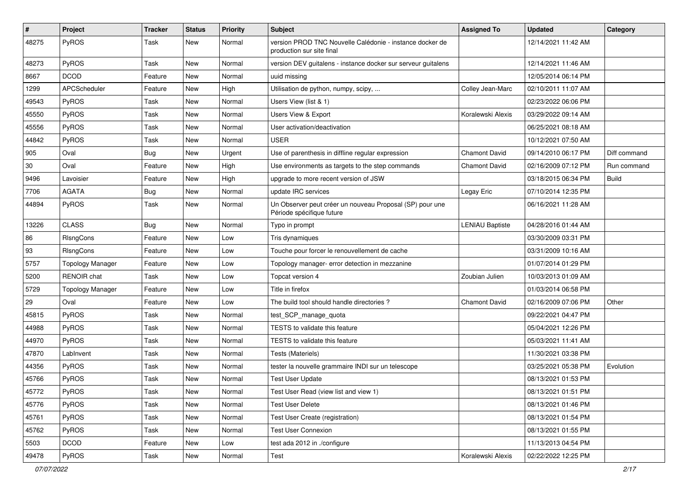| $\pmb{\#}$ | Project                 | <b>Tracker</b> | <b>Status</b> | <b>Priority</b> | <b>Subject</b>                                                                        | <b>Assigned To</b>     | <b>Updated</b>      | Category     |
|------------|-------------------------|----------------|---------------|-----------------|---------------------------------------------------------------------------------------|------------------------|---------------------|--------------|
| 48275      | PyROS                   | Task           | New           | Normal          | version PROD TNC Nouvelle Calédonie - instance docker de<br>production sur site final |                        | 12/14/2021 11:42 AM |              |
| 48273      | PyROS                   | Task           | New           | Normal          | version DEV guitalens - instance docker sur serveur guitalens                         |                        | 12/14/2021 11:46 AM |              |
| 8667       | <b>DCOD</b>             | Feature        | New           | Normal          | uuid missing                                                                          |                        | 12/05/2014 06:14 PM |              |
| 1299       | APCScheduler            | Feature        | New           | High            | Utilisation de python, numpy, scipy,                                                  | Colley Jean-Marc       | 02/10/2011 11:07 AM |              |
| 49543      | PyROS                   | Task           | New           | Normal          | Users View (list & 1)                                                                 |                        | 02/23/2022 06:06 PM |              |
| 45550      | PyROS                   | Task           | New           | Normal          | Users View & Export                                                                   | Koralewski Alexis      | 03/29/2022 09:14 AM |              |
| 45556      | PyROS                   | Task           | New           | Normal          | User activation/deactivation                                                          |                        | 06/25/2021 08:18 AM |              |
| 44842      | PyROS                   | Task           | New           | Normal          | <b>USER</b>                                                                           |                        | 10/12/2021 07:50 AM |              |
| 905        | Oval                    | Bug            | <b>New</b>    | Urgent          | Use of parenthesis in diffline regular expression                                     | <b>Chamont David</b>   | 09/14/2010 06:17 PM | Diff command |
| 30         | Oval                    | Feature        | New           | High            | Use environments as targets to the step commands                                      | <b>Chamont David</b>   | 02/16/2009 07:12 PM | Run command  |
| 9496       | Lavoisier               | Feature        | New           | High            | upgrade to more recent version of JSW                                                 |                        | 03/18/2015 06:34 PM | <b>Build</b> |
| 7706       | <b>AGATA</b>            | Bug            | New           | Normal          | update IRC services                                                                   | Legay Eric             | 07/10/2014 12:35 PM |              |
| 44894      | PyROS                   | Task           | New           | Normal          | Un Observer peut créer un nouveau Proposal (SP) pour une<br>Période spécifique future |                        | 06/16/2021 11:28 AM |              |
| 13226      | <b>CLASS</b>            | Bug            | New           | Normal          | Typo in prompt                                                                        | <b>LENIAU Baptiste</b> | 04/28/2016 01:44 AM |              |
| 86         | RIsngCons               | Feature        | New           | Low             | Tris dynamiques                                                                       |                        | 03/30/2009 03:31 PM |              |
| 93         | RIsngCons               | Feature        | New           | Low             | Touche pour forcer le renouvellement de cache                                         |                        | 03/31/2009 10:16 AM |              |
| 5757       | <b>Topology Manager</b> | Feature        | New           | Low             | Topology manager- error detection in mezzanine                                        |                        | 01/07/2014 01:29 PM |              |
| 5200       | <b>RENOIR</b> chat      | Task           | New           | Low             | Topcat version 4                                                                      | Zoubian Julien         | 10/03/2013 01:09 AM |              |
| 5729       | <b>Topology Manager</b> | Feature        | New           | Low             | Title in firefox                                                                      |                        | 01/03/2014 06:58 PM |              |
| 29         | Oval                    | Feature        | New           | Low             | The build tool should handle directories?                                             | <b>Chamont David</b>   | 02/16/2009 07:06 PM | Other        |
| 45815      | PyROS                   | Task           | <b>New</b>    | Normal          | test_SCP_manage_quota                                                                 |                        | 09/22/2021 04:47 PM |              |
| 44988      | PyROS                   | Task           | New           | Normal          | TESTS to validate this feature                                                        |                        | 05/04/2021 12:26 PM |              |
| 44970      | PyROS                   | Task           | New           | Normal          | TESTS to validate this feature                                                        |                        | 05/03/2021 11:41 AM |              |
| 47870      | LabInvent               | Task           | New           | Normal          | Tests (Materiels)                                                                     |                        | 11/30/2021 03:38 PM |              |
| 44356      | PyROS                   | Task           | New           | Normal          | tester la nouvelle grammaire INDI sur un telescope                                    |                        | 03/25/2021 05:38 PM | Evolution    |
| 45766      | PyROS                   | Task           | <b>New</b>    | Normal          | <b>Test User Update</b>                                                               |                        | 08/13/2021 01:53 PM |              |
| 45772      | PyROS                   | Task           | New           | Normal          | Test User Read (view list and view 1)                                                 |                        | 08/13/2021 01:51 PM |              |
| 45776      | PyROS                   | Task           | New           | Normal          | <b>Test User Delete</b>                                                               |                        | 08/13/2021 01:46 PM |              |
| 45761      | PyROS                   | Task           | New           | Normal          | Test User Create (registration)                                                       |                        | 08/13/2021 01:54 PM |              |
| 45762      | PyROS                   | Task           | New           | Normal          | <b>Test User Connexion</b>                                                            |                        | 08/13/2021 01:55 PM |              |
| 5503       | <b>DCOD</b>             | Feature        | New           | Low             | test ada 2012 in ./configure                                                          |                        | 11/13/2013 04:54 PM |              |
| 49478      | PyROS                   | Task           | New           | Normal          | Test                                                                                  | Koralewski Alexis      | 02/22/2022 12:25 PM |              |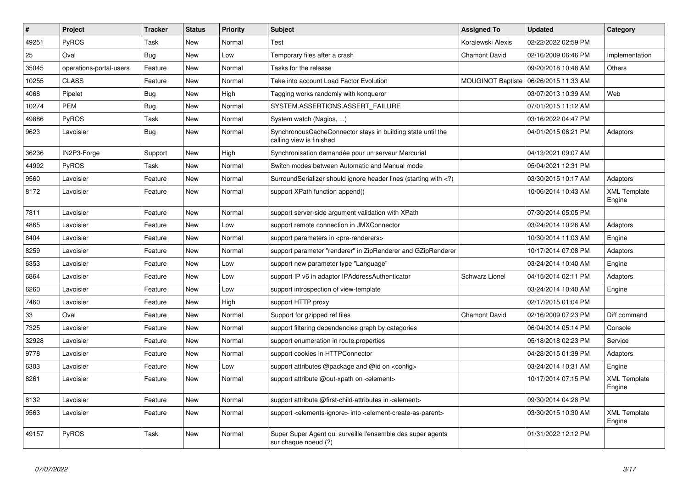| $\pmb{\#}$ | Project                 | <b>Tracker</b> | <b>Status</b> | <b>Priority</b> | <b>Subject</b>                                                                                         | <b>Assigned To</b>       | <b>Updated</b>      | Category                      |
|------------|-------------------------|----------------|---------------|-----------------|--------------------------------------------------------------------------------------------------------|--------------------------|---------------------|-------------------------------|
| 49251      | <b>PyROS</b>            | Task           | <b>New</b>    | Normal          | Test                                                                                                   | Koralewski Alexis        | 02/22/2022 02:59 PM |                               |
| 25         | Oval                    | <b>Bug</b>     | <b>New</b>    | Low             | Temporary files after a crash                                                                          | <b>Chamont David</b>     | 02/16/2009 06:46 PM | Implementation                |
| 35045      | operations-portal-users | Feature        | <b>New</b>    | Normal          | Tasks for the release                                                                                  |                          | 09/20/2018 10:48 AM | Others                        |
| 10255      | <b>CLASS</b>            | Feature        | <b>New</b>    | Normal          | Take into account Load Factor Evolution                                                                | <b>MOUGINOT Baptiste</b> | 06/26/2015 11:33 AM |                               |
| 4068       | Pipelet                 | Bug            | <b>New</b>    | High            | Tagging works randomly with konqueror                                                                  |                          | 03/07/2013 10:39 AM | Web                           |
| 10274      | PEM                     | <b>Bug</b>     | <b>New</b>    | Normal          | SYSTEM.ASSERTIONS.ASSERT FAILURE                                                                       |                          | 07/01/2015 11:12 AM |                               |
| 49886      | <b>PyROS</b>            | Task           | <b>New</b>    | Normal          | System watch (Nagios, )                                                                                |                          | 03/16/2022 04:47 PM |                               |
| 9623       | Lavoisier               | Bug            | New           | Normal          | Synchronous Cache Connector stays in building state until the<br>calling view is finished              |                          | 04/01/2015 06:21 PM | Adaptors                      |
| 36236      | IN2P3-Forge             | Support        | <b>New</b>    | High            | Synchronisation demandée pour un serveur Mercurial                                                     |                          | 04/13/2021 09:07 AM |                               |
| 44992      | <b>PyROS</b>            | Task           | <b>New</b>    | Normal          | Switch modes between Automatic and Manual mode                                                         |                          | 05/04/2021 12:31 PM |                               |
| 9560       | Lavoisier               | Feature        | <b>New</b>    | Normal          | Surround Serializer should ignore header lines (starting with $\langle$ ?)                             |                          | 03/30/2015 10:17 AM | Adaptors                      |
| 8172       | Lavoisier               | Feature        | <b>New</b>    | Normal          | support XPath function append()                                                                        |                          | 10/06/2014 10:43 AM | <b>XML Template</b><br>Engine |
| 7811       | Lavoisier               | Feature        | <b>New</b>    | Normal          | support server-side argument validation with XPath                                                     |                          | 07/30/2014 05:05 PM |                               |
| 4865       | Lavoisier               | Feature        | <b>New</b>    | Low             | support remote connection in JMXConnector                                                              |                          | 03/24/2014 10:26 AM | Adaptors                      |
| 8404       | Lavoisier               | Feature        | <b>New</b>    | Normal          | support parameters in <pre-renderers></pre-renderers>                                                  |                          | 10/30/2014 11:03 AM | Engine                        |
| 8259       | Lavoisier               | Feature        | <b>New</b>    | Normal          | support parameter "renderer" in ZipRenderer and GZipRenderer                                           |                          | 10/17/2014 07:08 PM | Adaptors                      |
| 6353       | Lavoisier               | Feature        | <b>New</b>    | Low             | support new parameter type "Language"                                                                  |                          | 03/24/2014 10:40 AM | Engine                        |
| 6864       | Lavoisier               | Feature        | <b>New</b>    | Low             | support IP v6 in adaptor IPAddressAuthenticator                                                        | <b>Schwarz Lionel</b>    | 04/15/2014 02:11 PM | Adaptors                      |
| 6260       | Lavoisier               | Feature        | <b>New</b>    | Low             | support introspection of view-template                                                                 |                          | 03/24/2014 10:40 AM | Engine                        |
| 7460       | Lavoisier               | Feature        | <b>New</b>    | High            | support HTTP proxy                                                                                     |                          | 02/17/2015 01:04 PM |                               |
| 33         | Oval                    | Feature        | <b>New</b>    | Normal          | Support for gzipped ref files                                                                          | <b>Chamont David</b>     | 02/16/2009 07:23 PM | Diff command                  |
| 7325       | Lavoisier               | Feature        | New           | Normal          | support filtering dependencies graph by categories                                                     |                          | 06/04/2014 05:14 PM | Console                       |
| 32928      | Lavoisier               | Feature        | <b>New</b>    | Normal          | support enumeration in route properties                                                                |                          | 05/18/2018 02:23 PM | Service                       |
| 9778       | Lavoisier               | Feature        | <b>New</b>    | Normal          | support cookies in HTTPConnector                                                                       |                          | 04/28/2015 01:39 PM | Adaptors                      |
| 6303       | Lavoisier               | Feature        | <b>New</b>    | Low             | support attributes @package and @id on <config></config>                                               |                          | 03/24/2014 10:31 AM | Engine                        |
| 8261       | Lavoisier               | Feature        | <b>New</b>    | Normal          | support attribute @out-xpath on <element></element>                                                    |                          | 10/17/2014 07:15 PM | <b>XML Template</b><br>Engine |
| 8132       | Lavoisier               | Feature        | <b>New</b>    | Normal          | support attribute @first-child-attributes in <element></element>                                       |                          | 09/30/2014 04:28 PM |                               |
| 9563       | Lavoisier               | Feature        | <b>New</b>    | Normal          | support <elements-ignore> into <element-create-as-parent></element-create-as-parent></elements-ignore> |                          | 03/30/2015 10:30 AM | <b>XML Template</b><br>Engine |
| 49157      | <b>PyROS</b>            | Task           | New           | Normal          | Super Super Agent qui surveille l'ensemble des super agents<br>sur chaque noeud (?)                    |                          | 01/31/2022 12:12 PM |                               |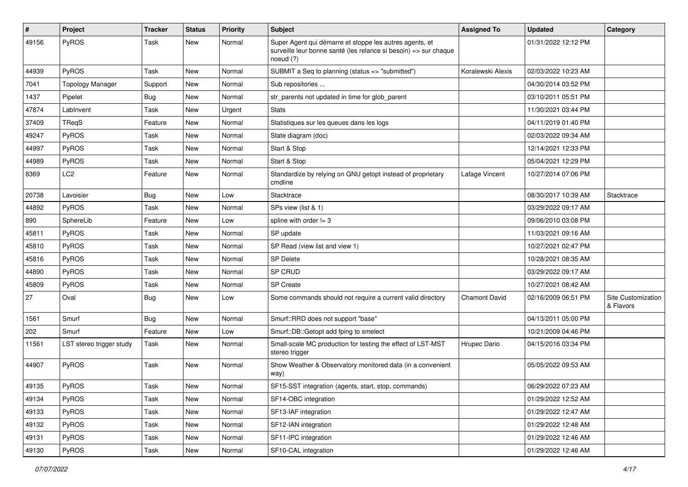| #     | Project                  | <b>Tracker</b> | <b>Status</b> | <b>Priority</b> | Subject                                                                                                                                  | <b>Assigned To</b>   | <b>Updated</b>      | Category                        |
|-------|--------------------------|----------------|---------------|-----------------|------------------------------------------------------------------------------------------------------------------------------------------|----------------------|---------------------|---------------------------------|
| 49156 | PyROS                    | Task           | New           | Normal          | Super Agent qui démarre et stoppe les autres agents, et<br>surveille leur bonne santé (les relance si besoin) => sur chaque<br>noeud (?) |                      | 01/31/2022 12:12 PM |                                 |
| 44939 | PyROS                    | Task           | New           | Normal          | SUBMIT a Seq to planning (status => "submitted")                                                                                         | Koralewski Alexis    | 02/03/2022 10:23 AM |                                 |
| 7041  | <b>Topology Manager</b>  | Support        | New           | Normal          | Sub repositories                                                                                                                         |                      | 04/30/2014 03:52 PM |                                 |
| 1437  | Pipelet                  | Bug            | New           | Normal          | str parents not updated in time for glob parent                                                                                          |                      | 03/10/2011 05:51 PM |                                 |
| 47874 | LabInvent                | Task           | <b>New</b>    | Urgent          | <b>Stats</b>                                                                                                                             |                      | 11/30/2021 03:44 PM |                                 |
| 37409 | TReqS                    | Feature        | New           | Normal          | Statistiques sur les queues dans les logs                                                                                                |                      | 04/11/2019 01:40 PM |                                 |
| 49247 | PyROS                    | Task           | New           | Normal          | State diagram (doc)                                                                                                                      |                      | 02/03/2022 09:34 AM |                                 |
| 44997 | PyROS                    | Task           | New           | Normal          | Start & Stop                                                                                                                             |                      | 12/14/2021 12:33 PM |                                 |
| 44989 | PyROS                    | Task           | New           | Normal          | Start & Stop                                                                                                                             |                      | 05/04/2021 12:29 PM |                                 |
| 8369  | LC <sub>2</sub>          | Feature        | New           | Normal          | Standardize by relying on GNU getopt instead of proprietary<br>cmdline                                                                   | Lafage Vincent       | 10/27/2014 07:06 PM |                                 |
| 20738 | Lavoisier                | Bug            | New           | Low             | Stacktrace                                                                                                                               |                      | 08/30/2017 10:39 AM | Stacktrace                      |
| 44892 | PyROS                    | Task           | <b>New</b>    | Normal          | SPs view (list & 1)                                                                                                                      |                      | 03/29/2022 09:17 AM |                                 |
| 890   | SphereLib                | Feature        | New           | Low             | spline with order $!= 3$                                                                                                                 |                      | 09/06/2010 03:08 PM |                                 |
| 45811 | PyROS                    | Task           | New           | Normal          | SP update                                                                                                                                |                      | 11/03/2021 09:16 AM |                                 |
| 45810 | PyROS                    | Task           | New           | Normal          | SP Read (view list and view 1)                                                                                                           |                      | 10/27/2021 02:47 PM |                                 |
| 45816 | <b>PyROS</b>             | Task           | New           | Normal          | <b>SP Delete</b>                                                                                                                         |                      | 10/28/2021 08:35 AM |                                 |
| 44890 | PyROS                    | Task           | New           | Normal          | <b>SP CRUD</b>                                                                                                                           |                      | 03/29/2022 09:17 AM |                                 |
| 45809 | PyROS                    | Task           | New           | Normal          | <b>SP Create</b>                                                                                                                         |                      | 10/27/2021 08:42 AM |                                 |
| 27    | Oval                     | Bug            | New           | Low             | Some commands should not require a current valid directory                                                                               | <b>Chamont David</b> | 02/16/2009 06:51 PM | Site Customization<br>& Flavors |
| 1561  | Smurf                    | Bug            | New           | Normal          | Smurf::RRD does not support "base"                                                                                                       |                      | 04/13/2011 05:00 PM |                                 |
| 202   | Smurf                    | Feature        | New           | Low             | Smurf::DB::Getopt add fping to smelect                                                                                                   |                      | 10/21/2009 04:46 PM |                                 |
| 11561 | LST stereo trigger study | Task           | New           | Normal          | Small-scale MC production for testing the effect of LST-MST<br>stereo trigger                                                            | Hrupec Dario         | 04/15/2016 03:34 PM |                                 |
| 44907 | PyROS                    | Task           | New           | Normal          | Show Weather & Observatory monitored data (in a convenient<br>way)                                                                       |                      | 05/05/2022 09:53 AM |                                 |
| 49135 | PyROS                    | Task           | New           | Normal          | SF15-SST integration (agents, start, stop, commands)                                                                                     |                      | 06/29/2022 07:23 AM |                                 |
| 49134 | PyROS                    | Task           | New           | Normal          | SF14-OBC integration                                                                                                                     |                      | 01/29/2022 12:52 AM |                                 |
| 49133 | PyROS                    | Task           | New           | Normal          | SF13-IAF integration                                                                                                                     |                      | 01/29/2022 12:47 AM |                                 |
| 49132 | PyROS                    | Task           | New           | Normal          | SF12-IAN integration                                                                                                                     |                      | 01/29/2022 12:48 AM |                                 |
| 49131 | PyROS                    | Task           | New           | Normal          | SF11-IPC integration                                                                                                                     |                      | 01/29/2022 12:46 AM |                                 |
| 49130 | PyROS                    | Task           | New           | Normal          | SF10-CAL integration                                                                                                                     |                      | 01/29/2022 12:46 AM |                                 |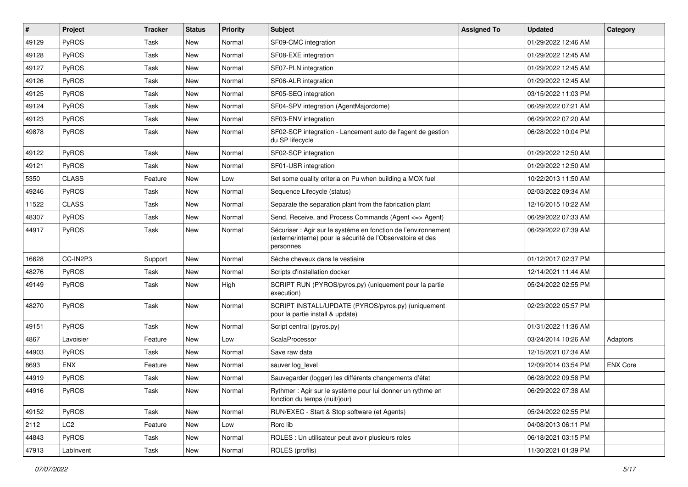| $\sharp$ | Project         | <b>Tracker</b> | <b>Status</b> | <b>Priority</b> | <b>Subject</b>                                                                                                                             | <b>Assigned To</b> | <b>Updated</b>      | Category        |
|----------|-----------------|----------------|---------------|-----------------|--------------------------------------------------------------------------------------------------------------------------------------------|--------------------|---------------------|-----------------|
| 49129    | PyROS           | Task           | New           | Normal          | SF09-CMC integration                                                                                                                       |                    | 01/29/2022 12:46 AM |                 |
| 49128    | PyROS           | Task           | New           | Normal          | SF08-EXE integration                                                                                                                       |                    | 01/29/2022 12:45 AM |                 |
| 49127    | PyROS           | Task           | New           | Normal          | SF07-PLN integration                                                                                                                       |                    | 01/29/2022 12:45 AM |                 |
| 49126    | PyROS           | Task           | New           | Normal          | SF06-ALR integration                                                                                                                       |                    | 01/29/2022 12:45 AM |                 |
| 49125    | PyROS           | Task           | New           | Normal          | SF05-SEQ integration                                                                                                                       |                    | 03/15/2022 11:03 PM |                 |
| 49124    | PyROS           | Task           | New           | Normal          | SF04-SPV integration (AgentMajordome)                                                                                                      |                    | 06/29/2022 07:21 AM |                 |
| 49123    | PyROS           | Task           | New           | Normal          | SF03-ENV integration                                                                                                                       |                    | 06/29/2022 07:20 AM |                 |
| 49878    | PyROS           | Task           | New           | Normal          | SF02-SCP integration - Lancement auto de l'agent de gestion<br>du SP lifecycle                                                             |                    | 06/28/2022 10:04 PM |                 |
| 49122    | PyROS           | Task           | New           | Normal          | SF02-SCP integration                                                                                                                       |                    | 01/29/2022 12:50 AM |                 |
| 49121    | <b>PyROS</b>    | Task           | New           | Normal          | SF01-USR integration                                                                                                                       |                    | 01/29/2022 12:50 AM |                 |
| 5350     | <b>CLASS</b>    | Feature        | New           | Low             | Set some quality criteria on Pu when building a MOX fuel                                                                                   |                    | 10/22/2013 11:50 AM |                 |
| 49246    | PyROS           | Task           | New           | Normal          | Sequence Lifecycle (status)                                                                                                                |                    | 02/03/2022 09:34 AM |                 |
| 11522    | <b>CLASS</b>    | Task           | New           | Normal          | Separate the separation plant from the fabrication plant                                                                                   |                    | 12/16/2015 10:22 AM |                 |
| 48307    | PyROS           | Task           | New           | Normal          | Send, Receive, and Process Commands (Agent <= > Agent)                                                                                     |                    | 06/29/2022 07:33 AM |                 |
| 44917    | PyROS           | Task           | New           | Normal          | Sécuriser : Agir sur le système en fonction de l'environnement<br>(externe/interne) pour la sécurité de l'Observatoire et des<br>personnes |                    | 06/29/2022 07:39 AM |                 |
| 16628    | CC-IN2P3        | Support        | New           | Normal          | Sèche cheveux dans le vestiaire                                                                                                            |                    | 01/12/2017 02:37 PM |                 |
| 48276    | PyROS           | Task           | New           | Normal          | Scripts d'installation docker                                                                                                              |                    | 12/14/2021 11:44 AM |                 |
| 49149    | PyROS           | Task           | New           | High            | SCRIPT RUN (PYROS/pyros.py) (uniquement pour la partie<br>execution)                                                                       |                    | 05/24/2022 02:55 PM |                 |
| 48270    | PyROS           | Task           | New           | Normal          | SCRIPT INSTALL/UPDATE (PYROS/pyros.py) (uniquement<br>pour la partie install & update)                                                     |                    | 02/23/2022 05:57 PM |                 |
| 49151    | <b>PyROS</b>    | Task           | New           | Normal          | Script central (pyros.py)                                                                                                                  |                    | 01/31/2022 11:36 AM |                 |
| 4867     | Lavoisier       | Feature        | New           | Low             | ScalaProcessor                                                                                                                             |                    | 03/24/2014 10:26 AM | Adaptors        |
| 44903    | <b>PyROS</b>    | Task           | New           | Normal          | Save raw data                                                                                                                              |                    | 12/15/2021 07:34 AM |                 |
| 8693     | <b>ENX</b>      | Feature        | New           | Normal          | sauver log_level                                                                                                                           |                    | 12/09/2014 03:54 PM | <b>ENX Core</b> |
| 44919    | PyROS           | Task           | New           | Normal          | Sauvegarder (logger) les différents changements d'état                                                                                     |                    | 06/28/2022 09:58 PM |                 |
| 44916    | PyROS           | Task           | New           | Normal          | Rythmer : Agir sur le système pour lui donner un rythme en<br>fonction du temps (nuit/jour)                                                |                    | 06/29/2022 07:38 AM |                 |
| 49152    | PyROS           | Task           | New           | Normal          | RUN/EXEC - Start & Stop software (et Agents)                                                                                               |                    | 05/24/2022 02:55 PM |                 |
| 2112     | LC <sub>2</sub> | Feature        | New           | Low             | Rorc lib                                                                                                                                   |                    | 04/08/2013 06:11 PM |                 |
| 44843    | PyROS           | Task           | New           | Normal          | ROLES : Un utilisateur peut avoir plusieurs roles                                                                                          |                    | 06/18/2021 03:15 PM |                 |
| 47913    | LabInvent       | Task           | New           | Normal          | ROLES (profils)                                                                                                                            |                    | 11/30/2021 01:39 PM |                 |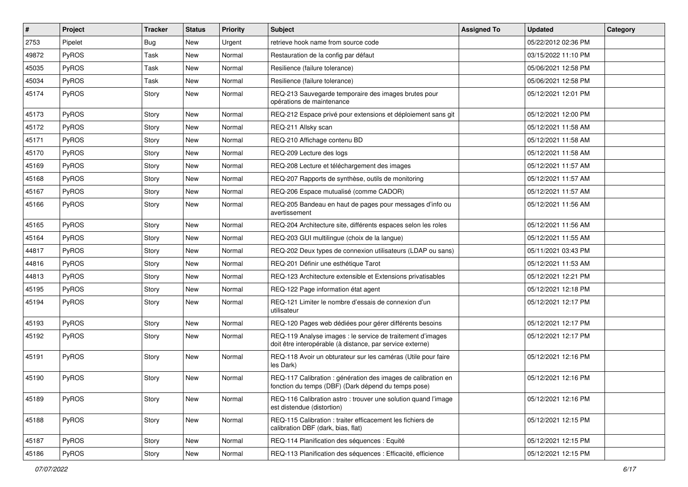| $\pmb{\#}$ | Project      | <b>Tracker</b> | <b>Status</b> | <b>Priority</b> | <b>Subject</b>                                                                                                          | <b>Assigned To</b> | <b>Updated</b>      | Category |
|------------|--------------|----------------|---------------|-----------------|-------------------------------------------------------------------------------------------------------------------------|--------------------|---------------------|----------|
| 2753       | Pipelet      | <b>Bug</b>     | New           | Urgent          | retrieve hook name from source code                                                                                     |                    | 05/22/2012 02:36 PM |          |
| 49872      | PyROS        | Task           | New           | Normal          | Restauration de la config par défaut                                                                                    |                    | 03/15/2022 11:10 PM |          |
| 45035      | PyROS        | Task           | New           | Normal          | Resilience (failure tolerance)                                                                                          |                    | 05/06/2021 12:58 PM |          |
| 45034      | PyROS        | Task           | New           | Normal          | Resilience (failure tolerance)                                                                                          |                    | 05/06/2021 12:58 PM |          |
| 45174      | PyROS        | Story          | New           | Normal          | REQ-213 Sauvegarde temporaire des images brutes pour<br>opérations de maintenance                                       |                    | 05/12/2021 12:01 PM |          |
| 45173      | PyROS        | Story          | New           | Normal          | REQ-212 Espace privé pour extensions et déploiement sans git                                                            |                    | 05/12/2021 12:00 PM |          |
| 45172      | PyROS        | Story          | New           | Normal          | REQ-211 Allsky scan                                                                                                     |                    | 05/12/2021 11:58 AM |          |
| 45171      | PyROS        | Story          | New           | Normal          | REQ-210 Affichage contenu BD                                                                                            |                    | 05/12/2021 11:58 AM |          |
| 45170      | PyROS        | Story          | New           | Normal          | REQ-209 Lecture des logs                                                                                                |                    | 05/12/2021 11:58 AM |          |
| 45169      | PyROS        | Story          | New           | Normal          | REQ-208 Lecture et téléchargement des images                                                                            |                    | 05/12/2021 11:57 AM |          |
| 45168      | PyROS        | Story          | New           | Normal          | REQ-207 Rapports de synthèse, outils de monitoring                                                                      |                    | 05/12/2021 11:57 AM |          |
| 45167      | PyROS        | Story          | New           | Normal          | REQ-206 Espace mutualisé (comme CADOR)                                                                                  |                    | 05/12/2021 11:57 AM |          |
| 45166      | PyROS        | Story          | New           | Normal          | REQ-205 Bandeau en haut de pages pour messages d'info ou<br>avertissement                                               |                    | 05/12/2021 11:56 AM |          |
| 45165      | PyROS        | Story          | New           | Normal          | REQ-204 Architecture site, différents espaces selon les roles                                                           |                    | 05/12/2021 11:56 AM |          |
| 45164      | PyROS        | Story          | New           | Normal          | REQ-203 GUI multilingue (choix de la langue)                                                                            |                    | 05/12/2021 11:55 AM |          |
| 44817      | PyROS        | Story          | New           | Normal          | REQ-202 Deux types de connexion utilisateurs (LDAP ou sans)                                                             |                    | 05/11/2021 03:43 PM |          |
| 44816      | <b>PyROS</b> | Story          | New           | Normal          | REQ-201 Définir une esthétique Tarot                                                                                    |                    | 05/12/2021 11:53 AM |          |
| 44813      | PyROS        | Story          | <b>New</b>    | Normal          | REQ-123 Architecture extensible et Extensions privatisables                                                             |                    | 05/12/2021 12:21 PM |          |
| 45195      | PyROS        | Story          | New           | Normal          | REQ-122 Page information état agent                                                                                     |                    | 05/12/2021 12:18 PM |          |
| 45194      | PyROS        | Story          | New           | Normal          | REQ-121 Limiter le nombre d'essais de connexion d'un<br>utilisateur                                                     |                    | 05/12/2021 12:17 PM |          |
| 45193      | PyROS        | Story          | New           | Normal          | REQ-120 Pages web dédiées pour gérer différents besoins                                                                 |                    | 05/12/2021 12:17 PM |          |
| 45192      | PyROS        | Story          | New           | Normal          | REQ-119 Analyse images : le service de traitement d'images<br>doit être interopérable (à distance, par service externe) |                    | 05/12/2021 12:17 PM |          |
| 45191      | PyROS        | Story          | New           | Normal          | REQ-118 Avoir un obturateur sur les caméras (Utile pour faire<br>les Dark)                                              |                    | 05/12/2021 12:16 PM |          |
| 45190      | PyROS        | Story          | New           | Normal          | REQ-117 Calibration : génération des images de calibration en<br>fonction du temps (DBF) (Dark dépend du temps pose)    |                    | 05/12/2021 12:16 PM |          |
| 45189      | PyROS        | Story          | New           | Normal          | REQ-116 Calibration astro: trouver une solution quand l'image<br>est distendue (distortion)                             |                    | 05/12/2021 12:16 PM |          |
| 45188      | PyROS        | Story          | New           | Normal          | REQ-115 Calibration : traiter efficacement les fichiers de<br>calibration DBF (dark, bias, flat)                        |                    | 05/12/2021 12:15 PM |          |
| 45187      | PyROS        | Story          | New           | Normal          | REQ-114 Planification des séquences : Equité                                                                            |                    | 05/12/2021 12:15 PM |          |
| 45186      | PyROS        | Story          | New           | Normal          | REQ-113 Planification des séquences : Efficacité, efficience                                                            |                    | 05/12/2021 12:15 PM |          |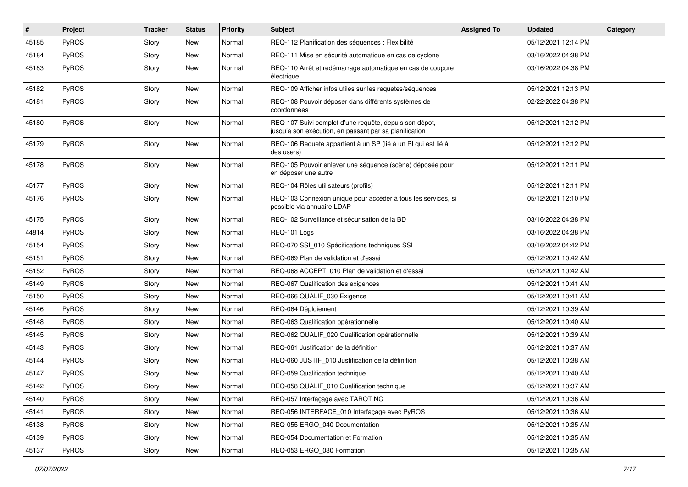| #     | Project      | <b>Tracker</b> | <b>Status</b> | <b>Priority</b> | <b>Subject</b>                                                                                                   | <b>Assigned To</b> | <b>Updated</b>      | Category |
|-------|--------------|----------------|---------------|-----------------|------------------------------------------------------------------------------------------------------------------|--------------------|---------------------|----------|
| 45185 | PyROS        | Story          | New           | Normal          | REQ-112 Planification des séquences : Flexibilité                                                                |                    | 05/12/2021 12:14 PM |          |
| 45184 | PyROS        | Story          | New           | Normal          | REQ-111 Mise en sécurité automatique en cas de cyclone                                                           |                    | 03/16/2022 04:38 PM |          |
| 45183 | <b>PyROS</b> | Story          | New           | Normal          | REQ-110 Arrêt et redémarrage automatique en cas de coupure<br>électrique                                         |                    | 03/16/2022 04:38 PM |          |
| 45182 | PyROS        | Story          | New           | Normal          | REQ-109 Afficher infos utiles sur les requetes/séquences                                                         |                    | 05/12/2021 12:13 PM |          |
| 45181 | PyROS        | Story          | New           | Normal          | REQ-108 Pouvoir déposer dans différents systèmes de<br>coordonnées                                               |                    | 02/22/2022 04:38 PM |          |
| 45180 | PyROS        | Story          | New           | Normal          | REQ-107 Suivi complet d'une requête, depuis son dépot,<br>jusqu'à son exécution, en passant par sa planification |                    | 05/12/2021 12:12 PM |          |
| 45179 | PyROS        | Story          | New           | Normal          | REQ-106 Requete appartient à un SP (lié à un PI qui est lié à<br>des users)                                      |                    | 05/12/2021 12:12 PM |          |
| 45178 | PyROS        | Story          | New           | Normal          | REQ-105 Pouvoir enlever une séquence (scène) déposée pour<br>en déposer une autre                                |                    | 05/12/2021 12:11 PM |          |
| 45177 | PyROS        | Story          | New           | Normal          | REQ-104 Rôles utilisateurs (profils)                                                                             |                    | 05/12/2021 12:11 PM |          |
| 45176 | PyROS        | Story          | New           | Normal          | REQ-103 Connexion unique pour accéder à tous les services, si<br>possible via annuaire LDAP                      |                    | 05/12/2021 12:10 PM |          |
| 45175 | <b>PyROS</b> | Story          | New           | Normal          | REQ-102 Surveillance et sécurisation de la BD                                                                    |                    | 03/16/2022 04:38 PM |          |
| 44814 | PyROS        | Story          | <b>New</b>    | Normal          | REQ-101 Logs                                                                                                     |                    | 03/16/2022 04:38 PM |          |
| 45154 | PyROS        | Story          | New           | Normal          | REQ-070 SSI_010 Spécifications techniques SSI                                                                    |                    | 03/16/2022 04:42 PM |          |
| 45151 | PyROS        | Story          | New           | Normal          | REQ-069 Plan de validation et d'essai                                                                            |                    | 05/12/2021 10:42 AM |          |
| 45152 | PyROS        | Story          | New           | Normal          | REQ-068 ACCEPT_010 Plan de validation et d'essai                                                                 |                    | 05/12/2021 10:42 AM |          |
| 45149 | <b>PyROS</b> | Story          | New           | Normal          | REQ-067 Qualification des exigences                                                                              |                    | 05/12/2021 10:41 AM |          |
| 45150 | PyROS        | Story          | New           | Normal          | REQ-066 QUALIF_030 Exigence                                                                                      |                    | 05/12/2021 10:41 AM |          |
| 45146 | PyROS        | Story          | New           | Normal          | REQ-064 Déploiement                                                                                              |                    | 05/12/2021 10:39 AM |          |
| 45148 | PyROS        | Story          | New           | Normal          | REQ-063 Qualification opérationnelle                                                                             |                    | 05/12/2021 10:40 AM |          |
| 45145 | PyROS        | Story          | New           | Normal          | REQ-062 QUALIF_020 Qualification opérationnelle                                                                  |                    | 05/12/2021 10:39 AM |          |
| 45143 | <b>PyROS</b> | Story          | New           | Normal          | REQ-061 Justification de la définition                                                                           |                    | 05/12/2021 10:37 AM |          |
| 45144 | PyROS        | Story          | New           | Normal          | REQ-060 JUSTIF_010 Justification de la définition                                                                |                    | 05/12/2021 10:38 AM |          |
| 45147 | PyROS        | Story          | New           | Normal          | REQ-059 Qualification technique                                                                                  |                    | 05/12/2021 10:40 AM |          |
| 45142 | PyROS        | Story          | New           | Normal          | REQ-058 QUALIF 010 Qualification technique                                                                       |                    | 05/12/2021 10:37 AM |          |
| 45140 | PyROS        | Story          | New           | Normal          | REQ-057 Interfaçage avec TAROT NC                                                                                |                    | 05/12/2021 10:36 AM |          |
| 45141 | PyROS        | Story          | New           | Normal          | REQ-056 INTERFACE_010 Interfaçage avec PyROS                                                                     |                    | 05/12/2021 10:36 AM |          |
| 45138 | PyROS        | Story          | New           | Normal          | REQ-055 ERGO_040 Documentation                                                                                   |                    | 05/12/2021 10:35 AM |          |
| 45139 | PyROS        | Story          | New           | Normal          | REQ-054 Documentation et Formation                                                                               |                    | 05/12/2021 10:35 AM |          |
| 45137 | PyROS        | Story          | New           | Normal          | REQ-053 ERGO 030 Formation                                                                                       |                    | 05/12/2021 10:35 AM |          |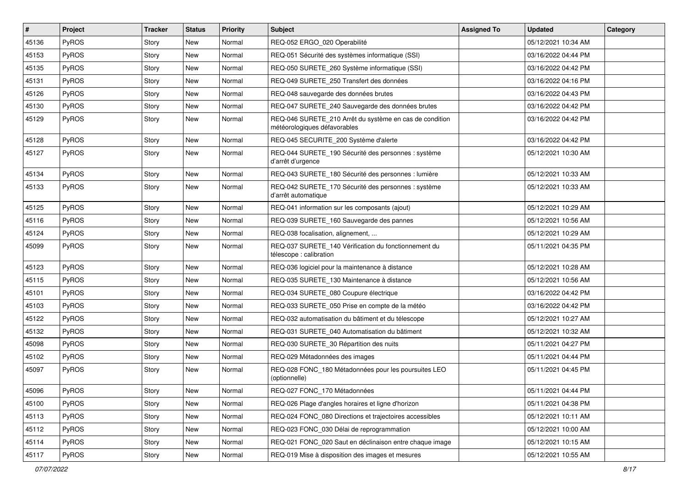| #     | Project      | <b>Tracker</b> | <b>Status</b> | <b>Priority</b> | <b>Subject</b>                                                                          | <b>Assigned To</b> | <b>Updated</b>      | Category |
|-------|--------------|----------------|---------------|-----------------|-----------------------------------------------------------------------------------------|--------------------|---------------------|----------|
| 45136 | <b>PyROS</b> | Story          | New           | Normal          | REQ-052 ERGO_020 Operabilité                                                            |                    | 05/12/2021 10:34 AM |          |
| 45153 | PyROS        | Story          | New           | Normal          | REQ-051 Sécurité des systèmes informatique (SSI)                                        |                    | 03/16/2022 04:44 PM |          |
| 45135 | PyROS        | Story          | New           | Normal          | REQ-050 SURETE_260 Système informatique (SSI)                                           |                    | 03/16/2022 04:42 PM |          |
| 45131 | PyROS        | Story          | New           | Normal          | REQ-049 SURETE_250 Transfert des données                                                |                    | 03/16/2022 04:16 PM |          |
| 45126 | PyROS        | Story          | New           | Normal          | REQ-048 sauvegarde des données brutes                                                   |                    | 03/16/2022 04:43 PM |          |
| 45130 | <b>PyROS</b> | Story          | New           | Normal          | REQ-047 SURETE_240 Sauvegarde des données brutes                                        |                    | 03/16/2022 04:42 PM |          |
| 45129 | PyROS        | Story          | New           | Normal          | REQ-046 SURETE 210 Arrêt du système en cas de condition<br>météorologiques défavorables |                    | 03/16/2022 04:42 PM |          |
| 45128 | PyROS        | Story          | New           | Normal          | REQ-045 SECURITE_200 Système d'alerte                                                   |                    | 03/16/2022 04:42 PM |          |
| 45127 | PyROS        | Story          | New           | Normal          | REQ-044 SURETE_190 Sécurité des personnes : système<br>d'arrêt d'urgence                |                    | 05/12/2021 10:30 AM |          |
| 45134 | PyROS        | Story          | New           | Normal          | REQ-043 SURETE_180 Sécurité des personnes : lumière                                     |                    | 05/12/2021 10:33 AM |          |
| 45133 | PyROS        | Story          | New           | Normal          | REQ-042 SURETE_170 Sécurité des personnes : système<br>d'arrêt automatique              |                    | 05/12/2021 10:33 AM |          |
| 45125 | PyROS        | Story          | New           | Normal          | REQ-041 information sur les composants (ajout)                                          |                    | 05/12/2021 10:29 AM |          |
| 45116 | PyROS        | Story          | New           | Normal          | REQ-039 SURETE 160 Sauvegarde des pannes                                                |                    | 05/12/2021 10:56 AM |          |
| 45124 | PyROS        | Story          | New           | Normal          | REQ-038 focalisation, alignement,                                                       |                    | 05/12/2021 10:29 AM |          |
| 45099 | PyROS        | Story          | New           | Normal          | REQ-037 SURETE 140 Vérification du fonctionnement du<br>télescope : calibration         |                    | 05/11/2021 04:35 PM |          |
| 45123 | PyROS        | Story          | New           | Normal          | REQ-036 logiciel pour la maintenance à distance                                         |                    | 05/12/2021 10:28 AM |          |
| 45115 | <b>PyROS</b> | Story          | New           | Normal          | REQ-035 SURETE_130 Maintenance à distance                                               |                    | 05/12/2021 10:56 AM |          |
| 45101 | <b>PyROS</b> | Story          | New           | Normal          | REQ-034 SURETE_080 Coupure électrique                                                   |                    | 03/16/2022 04:42 PM |          |
| 45103 | PyROS        | Story          | New           | Normal          | REQ-033 SURETE_050 Prise en compte de la météo                                          |                    | 03/16/2022 04:42 PM |          |
| 45122 | PyROS        | Story          | New           | Normal          | REQ-032 automatisation du bâtiment et du télescope                                      |                    | 05/12/2021 10:27 AM |          |
| 45132 | PyROS        | Story          | New           | Normal          | REQ-031 SURETE 040 Automatisation du bâtiment                                           |                    | 05/12/2021 10:32 AM |          |
| 45098 | PyROS        | Story          | New           | Normal          | REQ-030 SURETE_30 Répartition des nuits                                                 |                    | 05/11/2021 04:27 PM |          |
| 45102 | PyROS        | Story          | New           | Normal          | REQ-029 Métadonnées des images                                                          |                    | 05/11/2021 04:44 PM |          |
| 45097 | PyROS        | Story          | New           | Normal          | REQ-028 FONC_180 Métadonnées pour les poursuites LEO<br>(optionnelle)                   |                    | 05/11/2021 04:45 PM |          |
| 45096 | $ $ PyROS    | Story          | New           | Normal          | REQ-027 FONC_170 Métadonnées                                                            |                    | 05/11/2021 04:44 PM |          |
| 45100 | PyROS        | Story          | New           | Normal          | REQ-026 Plage d'angles horaires et ligne d'horizon                                      |                    | 05/11/2021 04:38 PM |          |
| 45113 | <b>PyROS</b> | Story          | New           | Normal          | REQ-024 FONC 080 Directions et trajectoires accessibles                                 |                    | 05/12/2021 10:11 AM |          |
| 45112 | PyROS        | Story          | New           | Normal          | REQ-023 FONC 030 Délai de reprogrammation                                               |                    | 05/12/2021 10:00 AM |          |
| 45114 | PyROS        | Story          | New           | Normal          | REQ-021 FONC_020 Saut en déclinaison entre chaque image                                 |                    | 05/12/2021 10:15 AM |          |
| 45117 | PyROS        | Story          | New           | Normal          | REQ-019 Mise à disposition des images et mesures                                        |                    | 05/12/2021 10:55 AM |          |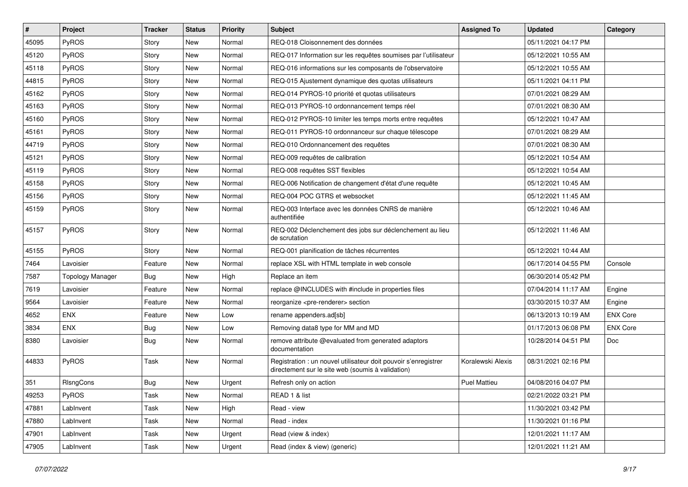| $\vert$ # | Project                 | <b>Tracker</b> | <b>Status</b> | <b>Priority</b> | <b>Subject</b>                                                                                                       | <b>Assigned To</b>  | <b>Updated</b>      | Category        |
|-----------|-------------------------|----------------|---------------|-----------------|----------------------------------------------------------------------------------------------------------------------|---------------------|---------------------|-----------------|
| 45095     | PyROS                   | Story          | New           | Normal          | REQ-018 Cloisonnement des données                                                                                    |                     | 05/11/2021 04:17 PM |                 |
| 45120     | PyROS                   | Story          | New           | Normal          | REQ-017 Information sur les requêtes soumises par l'utilisateur                                                      |                     | 05/12/2021 10:55 AM |                 |
| 45118     | PyROS                   | Story          | New           | Normal          | REQ-016 informations sur les composants de l'observatoire                                                            |                     | 05/12/2021 10:55 AM |                 |
| 44815     | PyROS                   | Story          | New           | Normal          | REQ-015 Ajustement dynamique des quotas utilisateurs                                                                 |                     | 05/11/2021 04:11 PM |                 |
| 45162     | PyROS                   | Story          | New           | Normal          | REQ-014 PYROS-10 priorité et quotas utilisateurs                                                                     |                     | 07/01/2021 08:29 AM |                 |
| 45163     | PyROS                   | Story          | New           | Normal          | REQ-013 PYROS-10 ordonnancement temps réel                                                                           |                     | 07/01/2021 08:30 AM |                 |
| 45160     | PyROS                   | Story          | <b>New</b>    | Normal          | REQ-012 PYROS-10 limiter les temps morts entre requêtes                                                              |                     | 05/12/2021 10:47 AM |                 |
| 45161     | PyROS                   | Story          | New           | Normal          | REQ-011 PYROS-10 ordonnanceur sur chaque télescope                                                                   |                     | 07/01/2021 08:29 AM |                 |
| 44719     | PyROS                   | Story          | New           | Normal          | REQ-010 Ordonnancement des requêtes                                                                                  |                     | 07/01/2021 08:30 AM |                 |
| 45121     | PyROS                   | Story          | New           | Normal          | REQ-009 requêtes de calibration                                                                                      |                     | 05/12/2021 10:54 AM |                 |
| 45119     | PyROS                   | Story          | New           | Normal          | REQ-008 requêtes SST flexibles                                                                                       |                     | 05/12/2021 10:54 AM |                 |
| 45158     | PyROS                   | Story          | New           | Normal          | REQ-006 Notification de changement d'état d'une requête                                                              |                     | 05/12/2021 10:45 AM |                 |
| 45156     | PyROS                   | Story          | New           | Normal          | REQ-004 POC GTRS et websocket                                                                                        |                     | 05/12/2021 11:45 AM |                 |
| 45159     | PyROS                   | Story          | New           | Normal          | REQ-003 Interface avec les données CNRS de manière<br>authentifiée                                                   |                     | 05/12/2021 10:46 AM |                 |
| 45157     | PyROS                   | Story          | New           | Normal          | REQ-002 Déclenchement des jobs sur déclenchement au lieu<br>de scrutation                                            |                     | 05/12/2021 11:46 AM |                 |
| 45155     | PyROS                   | Story          | New           | Normal          | REQ-001 planification de tâches récurrentes                                                                          |                     | 05/12/2021 10:44 AM |                 |
| 7464      | Lavoisier               | Feature        | New           | Normal          | replace XSL with HTML template in web console                                                                        |                     | 06/17/2014 04:55 PM | Console         |
| 7587      | <b>Topology Manager</b> | Bug            | New           | High            | Replace an item                                                                                                      |                     | 06/30/2014 05:42 PM |                 |
| 7619      | Lavoisier               | Feature        | New           | Normal          | replace @INCLUDES with #include in properties files                                                                  |                     | 07/04/2014 11:17 AM | Engine          |
| 9564      | Lavoisier               | Feature        | New           | Normal          | reorganize <pre-renderer> section</pre-renderer>                                                                     |                     | 03/30/2015 10:37 AM | Engine          |
| 4652      | <b>ENX</b>              | Feature        | New           | Low             | rename appenders.ad[sb]                                                                                              |                     | 06/13/2013 10:19 AM | <b>ENX Core</b> |
| 3834      | <b>ENX</b>              | <b>Bug</b>     | New           | Low             | Removing data8 type for MM and MD                                                                                    |                     | 01/17/2013 06:08 PM | <b>ENX Core</b> |
| 8380      | Lavoisier               | Bug            | New           | Normal          | remove attribute @evaluated from generated adaptors<br>documentation                                                 |                     | 10/28/2014 04:51 PM | Doc             |
| 44833     | PyROS                   | Task           | New           | Normal          | Registration : un nouvel utilisateur doit pouvoir s'enregistrer<br>directement sur le site web (soumis à validation) | Koralewski Alexis   | 08/31/2021 02:16 PM |                 |
| 351       | RIsngCons               | <b>Bug</b>     | New           | Urgent          | Refresh only on action                                                                                               | <b>Puel Mattieu</b> | 04/08/2016 04:07 PM |                 |
| 49253     | PyROS                   | Task           | New           | Normal          | READ 1 & list                                                                                                        |                     | 02/21/2022 03:21 PM |                 |
| 47881     | LabInvent               | Task           | New           | High            | Read - view                                                                                                          |                     | 11/30/2021 03:42 PM |                 |
| 47880     | LabInvent               | Task           | New           | Normal          | Read - index                                                                                                         |                     | 11/30/2021 01:16 PM |                 |
| 47901     | LabInvent               | Task           | New           | Urgent          | Read (view & index)                                                                                                  |                     | 12/01/2021 11:17 AM |                 |
| 47905     | LabInvent               | Task           | New           | Urgent          | Read (index & view) (generic)                                                                                        |                     | 12/01/2021 11:21 AM |                 |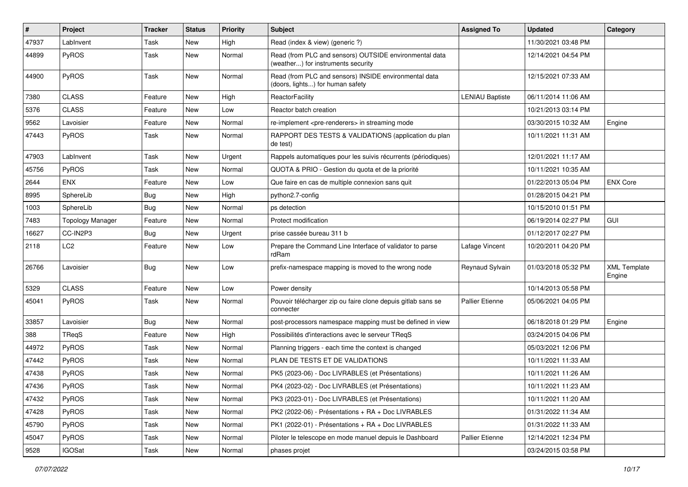| $\sharp$ | <b>Project</b>          | <b>Tracker</b> | <b>Status</b> | <b>Priority</b> | <b>Subject</b>                                                                               | <b>Assigned To</b>     | <b>Updated</b>      | Category                      |
|----------|-------------------------|----------------|---------------|-----------------|----------------------------------------------------------------------------------------------|------------------------|---------------------|-------------------------------|
| 47937    | LabInvent               | Task           | New           | High            | Read (index & view) (generic ?)                                                              |                        | 11/30/2021 03:48 PM |                               |
| 44899    | PyROS                   | Task           | New           | Normal          | Read (from PLC and sensors) OUTSIDE environmental data<br>(weather) for instruments security |                        | 12/14/2021 04:54 PM |                               |
| 44900    | PyROS                   | Task           | New           | Normal          | Read (from PLC and sensors) INSIDE environmental data<br>(doors, lights) for human safety    |                        | 12/15/2021 07:33 AM |                               |
| 7380     | <b>CLASS</b>            | Feature        | New           | High            | ReactorFacility                                                                              | <b>LENIAU Baptiste</b> | 06/11/2014 11:06 AM |                               |
| 5376     | <b>CLASS</b>            | Feature        | New           | Low             | Reactor batch creation                                                                       |                        | 10/21/2013 03:14 PM |                               |
| 9562     | Lavoisier               | Feature        | New           | Normal          | re-implement <pre-renderers> in streaming mode</pre-renderers>                               |                        | 03/30/2015 10:32 AM | Engine                        |
| 47443    | PyROS                   | Task           | New           | Normal          | RAPPORT DES TESTS & VALIDATIONS (application du plan<br>de test)                             |                        | 10/11/2021 11:31 AM |                               |
| 47903    | LabInvent               | Task           | New           | Urgent          | Rappels automatiques pour les suivis récurrents (périodiques)                                |                        | 12/01/2021 11:17 AM |                               |
| 45756    | PyROS                   | Task           | New           | Normal          | QUOTA & PRIO - Gestion du quota et de la priorité                                            |                        | 10/11/2021 10:35 AM |                               |
| 2644     | <b>ENX</b>              | Feature        | New           | Low             | Que faire en cas de multiple connexion sans quit                                             |                        | 01/22/2013 05:04 PM | <b>ENX Core</b>               |
| 8995     | SphereLib               | Bug            | New           | High            | python2.7-config                                                                             |                        | 01/28/2015 04:21 PM |                               |
| 1003     | SphereLib               | Bug            | New           | Normal          | ps detection                                                                                 |                        | 10/15/2010 01:51 PM |                               |
| 7483     | <b>Topology Manager</b> | Feature        | New           | Normal          | Protect modification                                                                         |                        | 06/19/2014 02:27 PM | <b>GUI</b>                    |
| 16627    | CC-IN2P3                | <b>Bug</b>     | New           | Urgent          | prise cassée bureau 311 b                                                                    |                        | 01/12/2017 02:27 PM |                               |
| 2118     | LC <sub>2</sub>         | Feature        | New           | Low             | Prepare the Command Line Interface of validator to parse<br>rdRam                            | Lafage Vincent         | 10/20/2011 04:20 PM |                               |
| 26766    | Lavoisier               | Bug            | New           | Low             | prefix-namespace mapping is moved to the wrong node                                          | Reynaud Sylvain        | 01/03/2018 05:32 PM | <b>XML Template</b><br>Engine |
| 5329     | <b>CLASS</b>            | Feature        | New           | Low             | Power density                                                                                |                        | 10/14/2013 05:58 PM |                               |
| 45041    | PyROS                   | Task           | New           | Normal          | Pouvoir télécharger zip ou faire clone depuis gitlab sans se<br>connecter                    | <b>Pallier Etienne</b> | 05/06/2021 04:05 PM |                               |
| 33857    | Lavoisier               | Bug            | New           | Normal          | post-processors namespace mapping must be defined in view                                    |                        | 06/18/2018 01:29 PM | Engine                        |
| 388      | TReqS                   | Feature        | New           | High            | Possibilités d'interactions avec le serveur TReqS                                            |                        | 03/24/2015 04:06 PM |                               |
| 44972    | PyROS                   | Task           | New           | Normal          | Planning triggers - each time the context is changed                                         |                        | 05/03/2021 12:06 PM |                               |
| 47442    | PyROS                   | Task           | New           | Normal          | PLAN DE TESTS ET DE VALIDATIONS                                                              |                        | 10/11/2021 11:33 AM |                               |
| 47438    | PyROS                   | Task           | <b>New</b>    | Normal          | PK5 (2023-06) - Doc LIVRABLES (et Présentations)                                             |                        | 10/11/2021 11:26 AM |                               |
| 47436    | PyROS                   | Task           | <b>New</b>    | Normal          | PK4 (2023-02) - Doc LIVRABLES (et Présentations)                                             |                        | 10/11/2021 11:23 AM |                               |
| 47432    | PyROS                   | Task           | New           | Normal          | PK3 (2023-01) - Doc LIVRABLES (et Présentations)                                             |                        | 10/11/2021 11:20 AM |                               |
| 47428    | PyROS                   | Task           | New           | Normal          | PK2 (2022-06) - Présentations + RA + Doc LIVRABLES                                           |                        | 01/31/2022 11:34 AM |                               |
| 45790    | PyROS                   | Task           | New           | Normal          | PK1 (2022-01) - Présentations + RA + Doc LIVRABLES                                           |                        | 01/31/2022 11:33 AM |                               |
| 45047    | PyROS                   | Task           | New           | Normal          | Piloter le telescope en mode manuel depuis le Dashboard                                      | Pallier Etienne        | 12/14/2021 12:34 PM |                               |
| 9528     | <b>IGOSat</b>           | Task           | New           | Normal          | phases projet                                                                                |                        | 03/24/2015 03:58 PM |                               |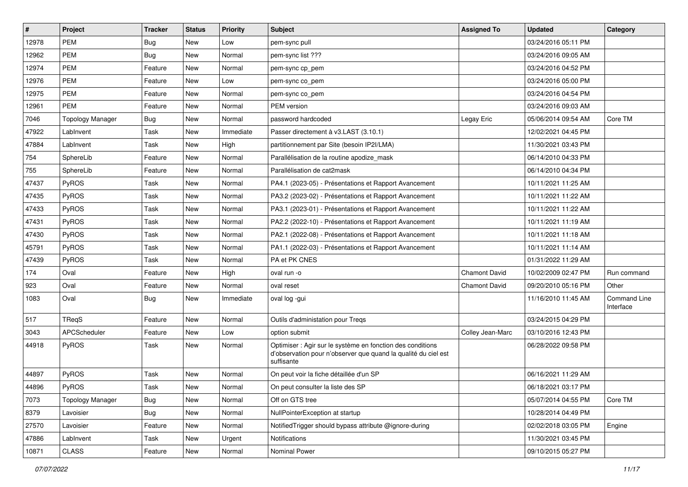| $\sharp$ | <b>Project</b>          | <b>Tracker</b> | <b>Status</b> | <b>Priority</b> | <b>Subject</b>                                                                                                                             | <b>Assigned To</b>   | <b>Updated</b>      | Category                         |
|----------|-------------------------|----------------|---------------|-----------------|--------------------------------------------------------------------------------------------------------------------------------------------|----------------------|---------------------|----------------------------------|
| 12978    | <b>PEM</b>              | Bug            | New           | Low             | pem-sync pull                                                                                                                              |                      | 03/24/2016 05:11 PM |                                  |
| 12962    | <b>PEM</b>              | <b>Bug</b>     | New           | Normal          | pem-sync list ???                                                                                                                          |                      | 03/24/2016 09:05 AM |                                  |
| 12974    | <b>PEM</b>              | Feature        | New           | Normal          | pem-sync cp_pem                                                                                                                            |                      | 03/24/2016 04:52 PM |                                  |
| 12976    | <b>PEM</b>              | Feature        | New           | Low             | pem-sync co_pem                                                                                                                            |                      | 03/24/2016 05:00 PM |                                  |
| 12975    | <b>PEM</b>              | Feature        | <b>New</b>    | Normal          | pem-sync co_pem                                                                                                                            |                      | 03/24/2016 04:54 PM |                                  |
| 12961    | <b>PEM</b>              | Feature        | New           | Normal          | PEM version                                                                                                                                |                      | 03/24/2016 09:03 AM |                                  |
| 7046     | <b>Topology Manager</b> | Bug            | <b>New</b>    | Normal          | password hardcoded                                                                                                                         | Legay Eric           | 05/06/2014 09:54 AM | Core TM                          |
| 47922    | LabInvent               | Task           | New           | Immediate       | Passer directement à v3.LAST (3.10.1)                                                                                                      |                      | 12/02/2021 04:45 PM |                                  |
| 47884    | LabInvent               | Task           | New           | High            | partitionnement par Site (besoin IP2I/LMA)                                                                                                 |                      | 11/30/2021 03:43 PM |                                  |
| 754      | SphereLib               | Feature        | <b>New</b>    | Normal          | Parallélisation de la routine apodize_mask                                                                                                 |                      | 06/14/2010 04:33 PM |                                  |
| 755      | SphereLib               | Feature        | New           | Normal          | Parallélisation de cat2mask                                                                                                                |                      | 06/14/2010 04:34 PM |                                  |
| 47437    | PyROS                   | Task           | <b>New</b>    | Normal          | PA4.1 (2023-05) - Présentations et Rapport Avancement                                                                                      |                      | 10/11/2021 11:25 AM |                                  |
| 47435    | PyROS                   | Task           | New           | Normal          | PA3.2 (2023-02) - Présentations et Rapport Avancement                                                                                      |                      | 10/11/2021 11:22 AM |                                  |
| 47433    | PyROS                   | Task           | New           | Normal          | PA3.1 (2023-01) - Présentations et Rapport Avancement                                                                                      |                      | 10/11/2021 11:22 AM |                                  |
| 47431    | PyROS                   | Task           | <b>New</b>    | Normal          | PA2.2 (2022-10) - Présentations et Rapport Avancement                                                                                      |                      | 10/11/2021 11:19 AM |                                  |
| 47430    | PyROS                   | Task           | <b>New</b>    | Normal          | PA2.1 (2022-08) - Présentations et Rapport Avancement                                                                                      |                      | 10/11/2021 11:18 AM |                                  |
| 45791    | PyROS                   | Task           | New           | Normal          | PA1.1 (2022-03) - Présentations et Rapport Avancement                                                                                      |                      | 10/11/2021 11:14 AM |                                  |
| 47439    | PyROS                   | Task           | New           | Normal          | PA et PK CNES                                                                                                                              |                      | 01/31/2022 11:29 AM |                                  |
| 174      | Oval                    | Feature        | New           | High            | oval run -o                                                                                                                                | <b>Chamont David</b> | 10/02/2009 02:47 PM | Run command                      |
| 923      | Oval                    | Feature        | New           | Normal          | oval reset                                                                                                                                 | <b>Chamont David</b> | 09/20/2010 05:16 PM | Other                            |
| 1083     | Oval                    | Bug            | New           | Immediate       | oval log -gui                                                                                                                              |                      | 11/16/2010 11:45 AM | <b>Command Line</b><br>Interface |
| 517      | TRegS                   | Feature        | New           | Normal          | Outils d'administation pour Treqs                                                                                                          |                      | 03/24/2015 04:29 PM |                                  |
| 3043     | APCScheduler            | Feature        | New           | Low             | option submit                                                                                                                              | Colley Jean-Marc     | 03/10/2016 12:43 PM |                                  |
| 44918    | PyROS                   | Task           | New           | Normal          | Optimiser : Agir sur le système en fonction des conditions<br>d'observation pour n'observer que quand la qualité du ciel est<br>suffisante |                      | 06/28/2022 09:58 PM |                                  |
| 44897    | PyROS                   | Task           | New           | Normal          | On peut voir la fiche détaillée d'un SP                                                                                                    |                      | 06/16/2021 11:29 AM |                                  |
| 44896    | PyROS                   | Task           | New           | Normal          | On peut consulter la liste des SP                                                                                                          |                      | 06/18/2021 03:17 PM |                                  |
| 7073     | <b>Topology Manager</b> | <b>Bug</b>     | New           | Normal          | Off on GTS tree                                                                                                                            |                      | 05/07/2014 04:55 PM | Core TM                          |
| 8379     | Lavoisier               | <b>Bug</b>     | New           | Normal          | NullPointerException at startup                                                                                                            |                      | 10/28/2014 04:49 PM |                                  |
| 27570    | Lavoisier               | Feature        | New           | Normal          | Notified Trigger should bypass attribute @ignore-during                                                                                    |                      | 02/02/2018 03:05 PM | Engine                           |
| 47886    | LabInvent               | Task           | New           | Urgent          | Notifications                                                                                                                              |                      | 11/30/2021 03:45 PM |                                  |
| 10871    | CLASS                   | Feature        | New           | Normal          | Nominal Power                                                                                                                              |                      | 09/10/2015 05:27 PM |                                  |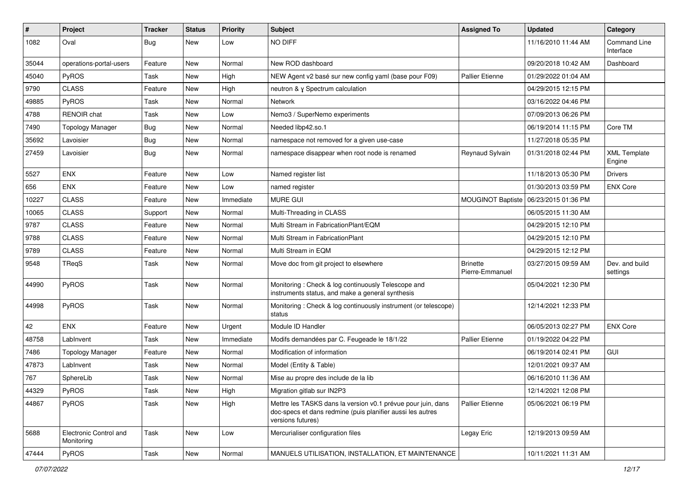| #     | Project                              | <b>Tracker</b> | <b>Status</b> | <b>Priority</b> | <b>Subject</b>                                                                                                                                  | <b>Assigned To</b>                 | <b>Updated</b>      | Category                         |
|-------|--------------------------------------|----------------|---------------|-----------------|-------------------------------------------------------------------------------------------------------------------------------------------------|------------------------------------|---------------------|----------------------------------|
| 1082  | Oval                                 | Bug            | New           | Low             | NO DIFF                                                                                                                                         |                                    | 11/16/2010 11:44 AM | <b>Command Line</b><br>Interface |
| 35044 | operations-portal-users              | Feature        | New           | Normal          | New ROD dashboard                                                                                                                               |                                    | 09/20/2018 10:42 AM | Dashboard                        |
| 45040 | PyROS                                | Task           | New           | High            | NEW Agent v2 basé sur new config yaml (base pour F09)                                                                                           | <b>Pallier Etienne</b>             | 01/29/2022 01:04 AM |                                  |
| 9790  | <b>CLASS</b>                         | Feature        | <b>New</b>    | High            | neutron & γ Spectrum calculation                                                                                                                |                                    | 04/29/2015 12:15 PM |                                  |
| 49885 | PyROS                                | Task           | New           | Normal          | Network                                                                                                                                         |                                    | 03/16/2022 04:46 PM |                                  |
| 4788  | RENOIR chat                          | Task           | New           | Low             | Nemo3 / SuperNemo experiments                                                                                                                   |                                    | 07/09/2013 06:26 PM |                                  |
| 7490  | <b>Topology Manager</b>              | Bug            | New           | Normal          | Needed libp42.so.1                                                                                                                              |                                    | 06/19/2014 11:15 PM | Core TM                          |
| 35692 | Lavoisier                            | Bug            | New           | Normal          | namespace not removed for a given use-case                                                                                                      |                                    | 11/27/2018 05:35 PM |                                  |
| 27459 | Lavoisier                            | Bug            | New           | Normal          | namespace disappear when root node is renamed                                                                                                   | Reynaud Sylvain                    | 01/31/2018 02:44 PM | <b>XML Template</b><br>Engine    |
| 5527  | <b>ENX</b>                           | Feature        | New           | Low             | Named register list                                                                                                                             |                                    | 11/18/2013 05:30 PM | <b>Drivers</b>                   |
| 656   | <b>ENX</b>                           | Feature        | New           | Low             | named register                                                                                                                                  |                                    | 01/30/2013 03:59 PM | <b>ENX Core</b>                  |
| 10227 | <b>CLASS</b>                         | Feature        | New           | Immediate       | <b>MURE GUI</b>                                                                                                                                 | MOUGINOT Baptiste                  | 06/23/2015 01:36 PM |                                  |
| 10065 | <b>CLASS</b>                         | Support        | New           | Normal          | Multi-Threading in CLASS                                                                                                                        |                                    | 06/05/2015 11:30 AM |                                  |
| 9787  | <b>CLASS</b>                         | Feature        | New           | Normal          | Multi Stream in FabricationPlant/EQM                                                                                                            |                                    | 04/29/2015 12:10 PM |                                  |
| 9788  | <b>CLASS</b>                         | Feature        | New           | Normal          | Multi Stream in FabricationPlant                                                                                                                |                                    | 04/29/2015 12:10 PM |                                  |
| 9789  | <b>CLASS</b>                         | Feature        | New           | Normal          | Multi Stream in EQM                                                                                                                             |                                    | 04/29/2015 12:12 PM |                                  |
| 9548  | TReqS                                | Task           | New           | Normal          | Move doc from git project to elsewhere                                                                                                          | <b>Brinette</b><br>Pierre-Emmanuel | 03/27/2015 09:59 AM | Dev. and build<br>settings       |
| 44990 | PyROS                                | Task           | New           | Normal          | Monitoring: Check & log continuously Telescope and<br>instruments status, and make a general synthesis                                          |                                    | 05/04/2021 12:30 PM |                                  |
| 44998 | PyROS                                | Task           | New           | Normal          | Monitoring: Check & log continuously instrument (or telescope)<br>status                                                                        |                                    | 12/14/2021 12:33 PM |                                  |
| 42    | <b>ENX</b>                           | Feature        | New           | Urgent          | Module ID Handler                                                                                                                               |                                    | 06/05/2013 02:27 PM | <b>ENX Core</b>                  |
| 48758 | LabInvent                            | Task           | New           | Immediate       | Modifs demandées par C. Feugeade le 18/1/22                                                                                                     | <b>Pallier Etienne</b>             | 01/19/2022 04:22 PM |                                  |
| 7486  | <b>Topology Manager</b>              | Feature        | New           | Normal          | Modification of information                                                                                                                     |                                    | 06/19/2014 02:41 PM | GUI                              |
| 47873 | LabInvent                            | Task           | New           | Normal          | Model (Entity & Table)                                                                                                                          |                                    | 12/01/2021 09:37 AM |                                  |
| 767   | SphereLib                            | Task           | New           | Normal          | Mise au propre des include de la lib                                                                                                            |                                    | 06/16/2010 11:36 AM |                                  |
| 44329 | PyROS                                | Task           | New           | High            | Migration gitlab sur IN2P3                                                                                                                      |                                    | 12/14/2021 12:08 PM |                                  |
| 44867 | PyROS                                | Task           | New           | High            | Mettre les TASKS dans la version v0.1 prévue pour juin, dans<br>doc-specs et dans redmine (puis planifier aussi les autres<br>versions futures) | <b>Pallier Etienne</b>             | 05/06/2021 06:19 PM |                                  |
| 5688  | Electronic Control and<br>Monitoring | Task           | New           | Low             | Mercurialiser configuration files                                                                                                               | Legay Eric                         | 12/19/2013 09:59 AM |                                  |
| 47444 | PyROS                                | Task           | New           | Normal          | MANUELS UTILISATION, INSTALLATION, ET MAINTENANCE                                                                                               |                                    | 10/11/2021 11:31 AM |                                  |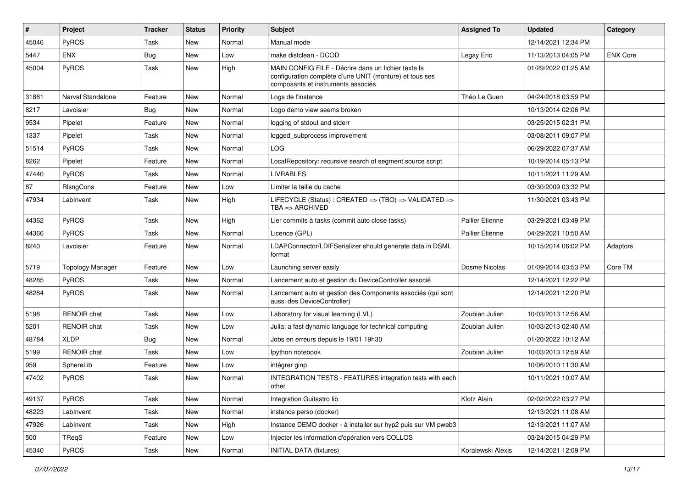| #     | Project                 | <b>Tracker</b> | <b>Status</b> | <b>Priority</b> | Subject                                                                                                                                              | <b>Assigned To</b>     | <b>Updated</b>      | Category        |
|-------|-------------------------|----------------|---------------|-----------------|------------------------------------------------------------------------------------------------------------------------------------------------------|------------------------|---------------------|-----------------|
| 45046 | PyROS                   | Task           | New           | Normal          | Manual mode                                                                                                                                          |                        | 12/14/2021 12:34 PM |                 |
| 5447  | <b>ENX</b>              | <b>Bug</b>     | New           | Low             | make distclean - DCOD                                                                                                                                | Legay Eric             | 11/13/2013 04:05 PM | <b>ENX Core</b> |
| 45004 | PyROS                   | Task           | New           | High            | MAIN CONFIG FILE - Décrire dans un fichier texte la<br>configuration complète d'une UNIT (monture) et tous ses<br>composants et instruments associés |                        | 01/29/2022 01:25 AM |                 |
| 31881 | Narval Standalone       | Feature        | <b>New</b>    | Normal          | Logs de l'instance                                                                                                                                   | Théo Le Guen           | 04/24/2018 03:59 PM |                 |
| 8217  | Lavoisier               | Bug            | <b>New</b>    | Normal          | Logo demo view seems broken                                                                                                                          |                        | 10/13/2014 02:06 PM |                 |
| 9534  | Pipelet                 | Feature        | New           | Normal          | logging of stdout and stderr                                                                                                                         |                        | 03/25/2015 02:31 PM |                 |
| 1337  | Pipelet                 | Task           | New           | Normal          | logged_subprocess improvement                                                                                                                        |                        | 03/08/2011 09:07 PM |                 |
| 51514 | PyROS                   | Task           | New           | Normal          | <b>LOG</b>                                                                                                                                           |                        | 06/29/2022 07:37 AM |                 |
| 8262  | Pipelet                 | Feature        | New           | Normal          | LocalRepository: recursive search of segment source script                                                                                           |                        | 10/19/2014 05:13 PM |                 |
| 47440 | PyROS                   | Task           | New           | Normal          | <b>LIVRABLES</b>                                                                                                                                     |                        | 10/11/2021 11:29 AM |                 |
| 87    | RIsngCons               | Feature        | <b>New</b>    | Low             | Limiter la taille du cache                                                                                                                           |                        | 03/30/2009 03:32 PM |                 |
| 47934 | LabInvent               | Task           | New           | High            | LIFECYCLE (Status): CREATED => (TBO) => VALIDATED =><br>$TBA \Rightarrow ARCHIVED$                                                                   |                        | 11/30/2021 03:43 PM |                 |
| 44362 | PyROS                   | Task           | New           | High            | Lier commits à tasks (commit auto close tasks)                                                                                                       | <b>Pallier Etienne</b> | 03/29/2021 03:49 PM |                 |
| 44366 | PyROS                   | Task           | New           | Normal          | Licence (GPL)                                                                                                                                        | <b>Pallier Etienne</b> | 04/29/2021 10:50 AM |                 |
| 8240  | Lavoisier               | Feature        | New           | Normal          | LDAPConnector/LDIFSerializer should generate data in DSML<br>format                                                                                  |                        | 10/15/2014 06:02 PM | <b>Adaptors</b> |
| 5719  | <b>Topology Manager</b> | Feature        | New           | Low             | Launching server easily                                                                                                                              | Dosme Nicolas          | 01/09/2014 03:53 PM | Core TM         |
| 48285 | PyROS                   | Task           | New           | Normal          | Lancement auto et gestion du DeviceController associé                                                                                                |                        | 12/14/2021 12:22 PM |                 |
| 48284 | PyROS                   | Task           | New           | Normal          | Lancement auto et gestion des Components associés (qui sont<br>aussi des DeviceController)                                                           |                        | 12/14/2021 12:20 PM |                 |
| 5198  | RENOIR chat             | Task           | New           | Low             | Laboratory for visual learning (LVL)                                                                                                                 | Zoubian Julien         | 10/03/2013 12:56 AM |                 |
| 5201  | <b>RENOIR</b> chat      | Task           | New           | Low             | Julia: a fast dynamic language for technical computing                                                                                               | Zoubian Julien         | 10/03/2013 02:40 AM |                 |
| 48784 | <b>XLDP</b>             | Bug            | New           | Normal          | Jobs en erreurs depuis le 19/01 19h30                                                                                                                |                        | 01/20/2022 10:12 AM |                 |
| 5199  | RENOIR chat             | Task           | <b>New</b>    | Low             | lpython notebook                                                                                                                                     | Zoubian Julien         | 10/03/2013 12:59 AM |                 |
| 959   | SphereLib               | Feature        | New           | Low             | intégrer ginp                                                                                                                                        |                        | 10/06/2010 11:30 AM |                 |
| 47402 | PyROS                   | Task           | New           | Normal          | <b>INTEGRATION TESTS - FEATURES integration tests with each</b><br>other                                                                             |                        | 10/11/2021 10:07 AM |                 |
| 49137 | <b>PyROS</b>            | Task           | New           | Normal          | Integration Guitastro lib                                                                                                                            | Klotz Alain            | 02/02/2022 03:27 PM |                 |
| 48223 | LabInvent               | Task           | New           | Normal          | instance perso (docker)                                                                                                                              |                        | 12/13/2021 11:08 AM |                 |
| 47926 | LabInvent               | Task           | New           | High            | Instance DEMO docker - à installer sur hyp2 puis sur VM pweb3                                                                                        |                        | 12/13/2021 11:07 AM |                 |
| 500   | TReqS                   | Feature        | New           | Low             | Injecter les information d'opération vers COLLOS                                                                                                     |                        | 03/24/2015 04:29 PM |                 |
| 45340 | PyROS                   | Task           | New           | Normal          | <b>INITIAL DATA (fixtures)</b>                                                                                                                       | Koralewski Alexis      | 12/14/2021 12:09 PM |                 |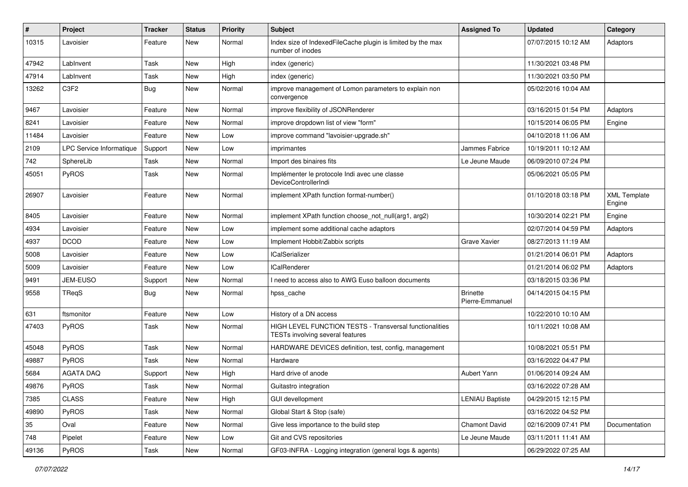| #     | Project                  | <b>Tracker</b> | <b>Status</b> | <b>Priority</b> | Subject                                                                                     | <b>Assigned To</b>                 | <b>Updated</b>      | Category                      |
|-------|--------------------------|----------------|---------------|-----------------|---------------------------------------------------------------------------------------------|------------------------------------|---------------------|-------------------------------|
| 10315 | Lavoisier                | Feature        | New           | Normal          | Index size of IndexedFileCache plugin is limited by the max<br>number of inodes             |                                    | 07/07/2015 10:12 AM | Adaptors                      |
| 47942 | LabInvent                | Task           | <b>New</b>    | High            | index (generic)                                                                             |                                    | 11/30/2021 03:48 PM |                               |
| 47914 | LabInvent                | Task           | New           | High            | index (generic)                                                                             |                                    | 11/30/2021 03:50 PM |                               |
| 13262 | C <sub>3F2</sub>         | Bug            | New           | Normal          | improve management of Lomon parameters to explain non<br>convergence                        |                                    | 05/02/2016 10:04 AM |                               |
| 9467  | Lavoisier                | Feature        | New           | Normal          | improve flexibility of JSONRenderer                                                         |                                    | 03/16/2015 01:54 PM | Adaptors                      |
| 8241  | Lavoisier                | Feature        | New           | Normal          | improve dropdown list of view "form"                                                        |                                    | 10/15/2014 06:05 PM | Engine                        |
| 11484 | Lavoisier                | Feature        | New           | Low             | improve command "lavoisier-upgrade.sh"                                                      |                                    | 04/10/2018 11:06 AM |                               |
| 2109  | LPC Service Informatique | Support        | New           | Low             | imprimantes                                                                                 | Jammes Fabrice                     | 10/19/2011 10:12 AM |                               |
| 742   | SphereLib                | Task           | New           | Normal          | Import des binaires fits                                                                    | Le Jeune Maude                     | 06/09/2010 07:24 PM |                               |
| 45051 | PyROS                    | Task           | New           | Normal          | Implémenter le protocole Indi avec une classe<br><b>DeviceControllerIndi</b>                |                                    | 05/06/2021 05:05 PM |                               |
| 26907 | Lavoisier                | Feature        | New           | Normal          | implement XPath function format-number()                                                    |                                    | 01/10/2018 03:18 PM | <b>XML Template</b><br>Engine |
| 8405  | Lavoisier                | Feature        | New           | Normal          | implement XPath function choose_not_null(arg1, arg2)                                        |                                    | 10/30/2014 02:21 PM | Engine                        |
| 4934  | Lavoisier                | Feature        | New           | Low             | implement some additional cache adaptors                                                    |                                    | 02/07/2014 04:59 PM | Adaptors                      |
| 4937  | <b>DCOD</b>              | Feature        | New           | Low             | Implement Hobbit/Zabbix scripts                                                             | Grave Xavier                       | 08/27/2013 11:19 AM |                               |
| 5008  | Lavoisier                | Feature        | New           | Low             | <b>ICalSerializer</b>                                                                       |                                    | 01/21/2014 06:01 PM | Adaptors                      |
| 5009  | Lavoisier                | Feature        | New           | Low             | <b>ICalRenderer</b>                                                                         |                                    | 01/21/2014 06:02 PM | Adaptors                      |
| 9491  | JEM-EUSO                 | Support        | New           | Normal          | I need to access also to AWG Euso balloon documents                                         |                                    | 03/18/2015 03:36 PM |                               |
| 9558  | TReqS                    | <b>Bug</b>     | New           | Normal          | hpss_cache                                                                                  | <b>Brinette</b><br>Pierre-Emmanuel | 04/14/2015 04:15 PM |                               |
| 631   | ftsmonitor               | Feature        | New           | Low             | History of a DN access                                                                      |                                    | 10/22/2010 10:10 AM |                               |
| 47403 | PyROS                    | Task           | New           | Normal          | HIGH LEVEL FUNCTION TESTS - Transversal functionalities<br>TESTs involving several features |                                    | 10/11/2021 10:08 AM |                               |
| 45048 | PyROS                    | Task           | New           | Normal          | HARDWARE DEVICES definition, test, config, management                                       |                                    | 10/08/2021 05:51 PM |                               |
| 49887 | PyROS                    | Task           | New           | Normal          | Hardware                                                                                    |                                    | 03/16/2022 04:47 PM |                               |
| 5684  | <b>AGATA DAO</b>         | Support        | New           | High            | Hard drive of anode                                                                         | Aubert Yann                        | 01/06/2014 09:24 AM |                               |
| 49876 | PyROS                    | Task           | New           | Normal          | Guitastro integration                                                                       |                                    | 03/16/2022 07:28 AM |                               |
| 7385  | <b>CLASS</b>             | Feature        | New           | High            | <b>GUI devellopment</b>                                                                     | <b>LENIAU Baptiste</b>             | 04/29/2015 12:15 PM |                               |
| 49890 | PyROS                    | Task           | New           | Normal          | Global Start & Stop (safe)                                                                  |                                    | 03/16/2022 04:52 PM |                               |
| 35    | Oval                     | Feature        | New           | Normal          | Give less importance to the build step                                                      | Chamont David                      | 02/16/2009 07:41 PM | Documentation                 |
| 748   | Pipelet                  | Feature        | New           | Low             | Git and CVS repositories                                                                    | Le Jeune Maude                     | 03/11/2011 11:41 AM |                               |
| 49136 | PyROS                    | Task           | New           | Normal          | GF03-INFRA - Logging integration (general logs & agents)                                    |                                    | 06/29/2022 07:25 AM |                               |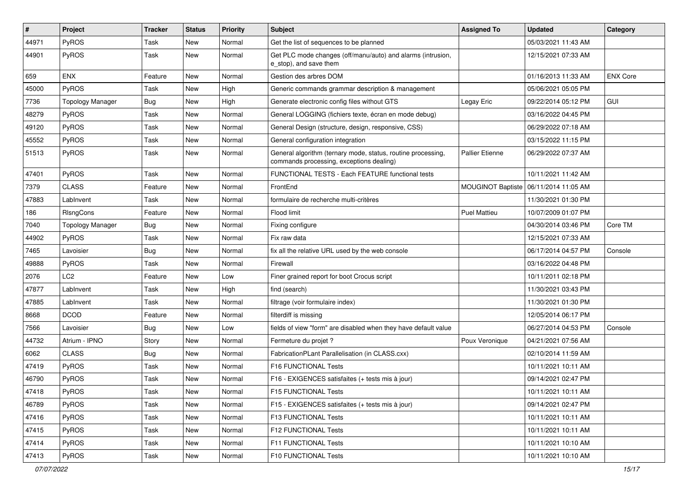| $\vert$ # | Project                 | <b>Tracker</b> | <b>Status</b> | <b>Priority</b> | <b>Subject</b>                                                                                           | <b>Assigned To</b>       | <b>Updated</b>      | Category        |
|-----------|-------------------------|----------------|---------------|-----------------|----------------------------------------------------------------------------------------------------------|--------------------------|---------------------|-----------------|
| 44971     | PyROS                   | Task           | <b>New</b>    | Normal          | Get the list of sequences to be planned                                                                  |                          | 05/03/2021 11:43 AM |                 |
| 44901     | PyROS                   | Task           | New           | Normal          | Get PLC mode changes (off/manu/auto) and alarms (intrusion,<br>e stop), and save them                    |                          | 12/15/2021 07:33 AM |                 |
| 659       | <b>ENX</b>              | Feature        | <b>New</b>    | Normal          | Gestion des arbres DOM                                                                                   |                          | 01/16/2013 11:33 AM | <b>ENX Core</b> |
| 45000     | PyROS                   | Task           | New           | High            | Generic commands grammar description & management                                                        |                          | 05/06/2021 05:05 PM |                 |
| 7736      | <b>Topology Manager</b> | <b>Bug</b>     | New           | High            | Generate electronic config files without GTS                                                             | Legay Eric               | 09/22/2014 05:12 PM | GUI             |
| 48279     | PyROS                   | Task           | New           | Normal          | General LOGGING (fichiers texte, écran en mode debug)                                                    |                          | 03/16/2022 04:45 PM |                 |
| 49120     | PyROS                   | Task           | New           | Normal          | General Design (structure, design, responsive, CSS)                                                      |                          | 06/29/2022 07:18 AM |                 |
| 45552     | PyROS                   | Task           | <b>New</b>    | Normal          | General configuration integration                                                                        |                          | 03/15/2022 11:15 PM |                 |
| 51513     | PyROS                   | Task           | New           | Normal          | General algorithm (ternary mode, status, routine processing,<br>commands processing, exceptions dealing) | <b>Pallier Etienne</b>   | 06/29/2022 07:37 AM |                 |
| 47401     | PyROS                   | Task           | <b>New</b>    | Normal          | FUNCTIONAL TESTS - Each FEATURE functional tests                                                         |                          | 10/11/2021 11:42 AM |                 |
| 7379      | <b>CLASS</b>            | Feature        | New           | Normal          | FrontEnd                                                                                                 | <b>MOUGINOT Baptiste</b> | 06/11/2014 11:05 AM |                 |
| 47883     | LabInvent               | Task           | New           | Normal          | formulaire de recherche multi-critères                                                                   |                          | 11/30/2021 01:30 PM |                 |
| 186       | RIsngCons               | Feature        | <b>New</b>    | Normal          | Flood limit                                                                                              | <b>Puel Mattieu</b>      | 10/07/2009 01:07 PM |                 |
| 7040      | <b>Topology Manager</b> | Bug            | New           | Normal          | Fixing configure                                                                                         |                          | 04/30/2014 03:46 PM | Core TM         |
| 44902     | PyROS                   | Task           | New           | Normal          | Fix raw data                                                                                             |                          | 12/15/2021 07:33 AM |                 |
| 7465      | Lavoisier               | Bug            | New           | Normal          | fix all the relative URL used by the web console                                                         |                          | 06/17/2014 04:57 PM | Console         |
| 49888     | PyROS                   | Task           | New           | Normal          | Firewall                                                                                                 |                          | 03/16/2022 04:48 PM |                 |
| 2076      | LC <sub>2</sub>         | Feature        | New           | Low             | Finer grained report for boot Crocus script                                                              |                          | 10/11/2011 02:18 PM |                 |
| 47877     | LabInvent               | Task           | New           | High            | find (search)                                                                                            |                          | 11/30/2021 03:43 PM |                 |
| 47885     | LabInvent               | Task           | New           | Normal          | filtrage (voir formulaire index)                                                                         |                          | 11/30/2021 01:30 PM |                 |
| 8668      | <b>DCOD</b>             | Feature        | <b>New</b>    | Normal          | filterdiff is missing                                                                                    |                          | 12/05/2014 06:17 PM |                 |
| 7566      | Lavoisier               | <b>Bug</b>     | <b>New</b>    | Low             | fields of view "form" are disabled when they have default value                                          |                          | 06/27/2014 04:53 PM | Console         |
| 44732     | Atrium - IPNO           | Story          | New           | Normal          | Fermeture du projet ?                                                                                    | Poux Veronique           | 04/21/2021 07:56 AM |                 |
| 6062      | <b>CLASS</b>            | <b>Bug</b>     | New           | Normal          | FabricationPLant Parallelisation (in CLASS.cxx)                                                          |                          | 02/10/2014 11:59 AM |                 |
| 47419     | PyROS                   | Task           | New           | Normal          | <b>F16 FUNCTIONAL Tests</b>                                                                              |                          | 10/11/2021 10:11 AM |                 |
| 46790     | PyROS                   | Task           | <b>New</b>    | Normal          | F16 - EXIGENCES satisfaites (+ tests mis à jour)                                                         |                          | 09/14/2021 02:47 PM |                 |
| 47418     | PyROS                   | Task           | New           | Normal          | F15 FUNCTIONAL Tests                                                                                     |                          | 10/11/2021 10:11 AM |                 |
| 46789     | PyROS                   | Task           | New           | Normal          | F15 - EXIGENCES satisfaites (+ tests mis à jour)                                                         |                          | 09/14/2021 02:47 PM |                 |
| 47416     | PyROS                   | Task           | New           | Normal          | F13 FUNCTIONAL Tests                                                                                     |                          | 10/11/2021 10:11 AM |                 |
| 47415     | <b>PyROS</b>            | Task           | New           | Normal          | F12 FUNCTIONAL Tests                                                                                     |                          | 10/11/2021 10:11 AM |                 |
| 47414     | PyROS                   | Task           | New           | Normal          | F11 FUNCTIONAL Tests                                                                                     |                          | 10/11/2021 10:10 AM |                 |
| 47413     | PyROS                   | Task           | New           | Normal          | F10 FUNCTIONAL Tests                                                                                     |                          | 10/11/2021 10:10 AM |                 |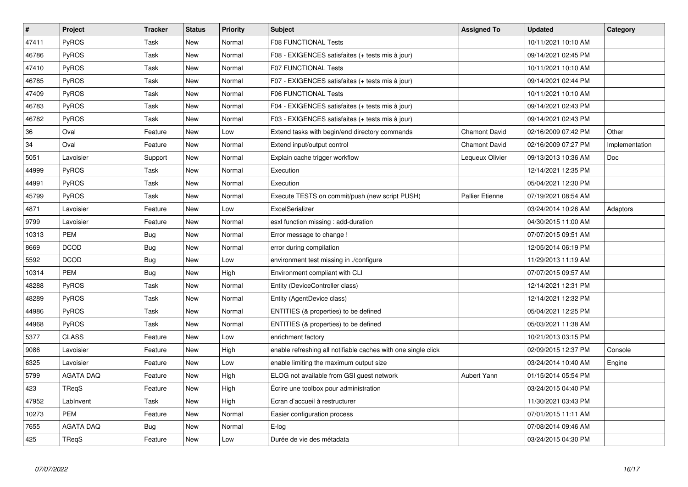| $\pmb{\#}$ | Project          | <b>Tracker</b> | <b>Status</b> | Priority | <b>Subject</b>                                                | <b>Assigned To</b>     | <b>Updated</b>      | Category       |
|------------|------------------|----------------|---------------|----------|---------------------------------------------------------------|------------------------|---------------------|----------------|
| 47411      | PyROS            | Task           | <b>New</b>    | Normal   | <b>F08 FUNCTIONAL Tests</b>                                   |                        | 10/11/2021 10:10 AM |                |
| 46786      | PyROS            | Task           | <b>New</b>    | Normal   | F08 - EXIGENCES satisfaites (+ tests mis à jour)              |                        | 09/14/2021 02:45 PM |                |
| 47410      | <b>PyROS</b>     | Task           | New           | Normal   | <b>F07 FUNCTIONAL Tests</b>                                   |                        | 10/11/2021 10:10 AM |                |
| 46785      | PyROS            | Task           | <b>New</b>    | Normal   | F07 - EXIGENCES satisfaites (+ tests mis à jour)              |                        | 09/14/2021 02:44 PM |                |
| 47409      | PyROS            | Task           | <b>New</b>    | Normal   | <b>F06 FUNCTIONAL Tests</b>                                   |                        | 10/11/2021 10:10 AM |                |
| 46783      | PyROS            | Task           | <b>New</b>    | Normal   | F04 - EXIGENCES satisfaites (+ tests mis à jour)              |                        | 09/14/2021 02:43 PM |                |
| 46782      | PyROS            | Task           | <b>New</b>    | Normal   | F03 - EXIGENCES satisfaites (+ tests mis à jour)              |                        | 09/14/2021 02:43 PM |                |
| 36         | Oval             | Feature        | <b>New</b>    | Low      | Extend tasks with begin/end directory commands                | <b>Chamont David</b>   | 02/16/2009 07:42 PM | Other          |
| 34         | Oval             | Feature        | New           | Normal   | Extend input/output control                                   | <b>Chamont David</b>   | 02/16/2009 07:27 PM | Implementation |
| 5051       | Lavoisier        | Support        | <b>New</b>    | Normal   | Explain cache trigger workflow                                | Lequeux Olivier        | 09/13/2013 10:36 AM | <b>Doc</b>     |
| 44999      | <b>PyROS</b>     | Task           | <b>New</b>    | Normal   | Execution                                                     |                        | 12/14/2021 12:35 PM |                |
| 44991      | PyROS            | Task           | <b>New</b>    | Normal   | Execution                                                     |                        | 05/04/2021 12:30 PM |                |
| 45799      | PyROS            | Task           | <b>New</b>    | Normal   | Execute TESTS on commit/push (new script PUSH)                | <b>Pallier Etienne</b> | 07/19/2021 08:54 AM |                |
| 4871       | Lavoisier        | Feature        | <b>New</b>    | Low      | ExcelSerializer                                               |                        | 03/24/2014 10:26 AM | Adaptors       |
| 9799       | Lavoisier        | Feature        | New           | Normal   | esxl function missing : add-duration                          |                        | 04/30/2015 11:00 AM |                |
| 10313      | <b>PEM</b>       | Bug            | <b>New</b>    | Normal   | Error message to change !                                     |                        | 07/07/2015 09:51 AM |                |
| 8669       | <b>DCOD</b>      | Bug            | New           | Normal   | error during compilation                                      |                        | 12/05/2014 06:19 PM |                |
| 5592       | <b>DCOD</b>      | Bug            | <b>New</b>    | Low      | environment test missing in ./configure                       |                        | 11/29/2013 11:19 AM |                |
| 10314      | PEM              | Bug            | New           | High     | Environment compliant with CLI                                |                        | 07/07/2015 09:57 AM |                |
| 48288      | PyROS            | Task           | New           | Normal   | Entity (DeviceController class)                               |                        | 12/14/2021 12:31 PM |                |
| 48289      | <b>PyROS</b>     | Task           | <b>New</b>    | Normal   | Entity (AgentDevice class)                                    |                        | 12/14/2021 12:32 PM |                |
| 44986      | <b>PyROS</b>     | Task           | <b>New</b>    | Normal   | ENTITIES (& properties) to be defined                         |                        | 05/04/2021 12:25 PM |                |
| 44968      | <b>PyROS</b>     | Task           | New           | Normal   | ENTITIES (& properties) to be defined                         |                        | 05/03/2021 11:38 AM |                |
| 5377       | <b>CLASS</b>     | Feature        | <b>New</b>    | Low      | enrichment factory                                            |                        | 10/21/2013 03:15 PM |                |
| 9086       | Lavoisier        | Feature        | New           | High     | enable refreshing all notifiable caches with one single click |                        | 02/09/2015 12:37 PM | Console        |
| 6325       | Lavoisier        | Feature        | <b>New</b>    | Low      | enable limiting the maximum output size                       |                        | 03/24/2014 10:40 AM | Engine         |
| 5799       | AGATA DAQ        | Feature        | <b>New</b>    | High     | ELOG not available from GSI guest network                     | Aubert Yann            | 01/15/2014 05:54 PM |                |
| 423        | <b>TRegS</b>     | Feature        | <b>New</b>    | High     | Ecrire une toolbox pour administration                        |                        | 03/24/2015 04:40 PM |                |
| 47952      | LabInvent        | Task           | <b>New</b>    | High     | Ecran d'accueil à restructurer                                |                        | 11/30/2021 03:43 PM |                |
| 10273      | <b>PEM</b>       | Feature        | New           | Normal   | Easier configuration process                                  |                        | 07/01/2015 11:11 AM |                |
| 7655       | <b>AGATA DAQ</b> | Bug            | New           | Normal   | E-log                                                         |                        | 07/08/2014 09:46 AM |                |
| 425        | TReqS            | Feature        | <b>New</b>    | Low      | Durée de vie des métadata                                     |                        | 03/24/2015 04:30 PM |                |